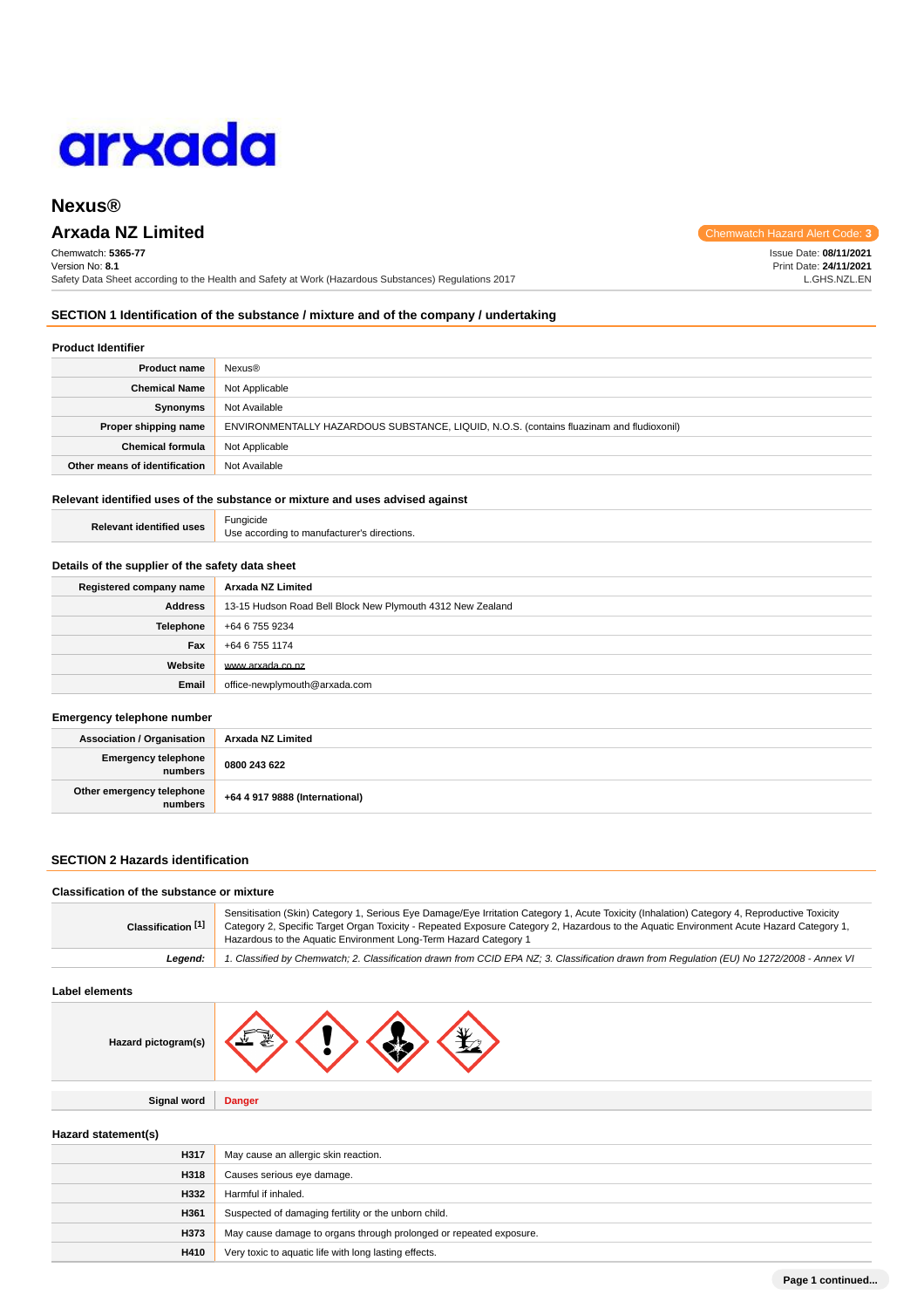

# **Nexus®**

# **Arxada NZ Limited Chemwatch Hazard Alert** Chemwatch Hazard Alert Computer Controllering Chemwatch Hazard Alert Controllering **Chemwatch Hazard Alert**

Chemwatch: **5365-77** Version No: **8.1** Safety Data Sheet according to the Health and Safety at Work (Hazardous Substances) Regulations 2017

**SECTION 1 Identification of the substance / mixture and of the company / undertaking**

#### **Product Identifier**

| <b>Product name</b>           | Nexus®                                                                                   |
|-------------------------------|------------------------------------------------------------------------------------------|
| <b>Chemical Name</b>          | Not Applicable                                                                           |
| Synonyms                      | Not Available                                                                            |
| Proper shipping name          | ENVIRONMENTALLY HAZARDOUS SUBSTANCE, LIQUID, N.O.S. (contains fluazinam and fludioxonil) |
| <b>Chemical formula</b>       | Not Applicable                                                                           |
| Other means of identification | Not Available                                                                            |

# **Relevant identified uses of the substance or mixture and uses advised against**

| <b>Relevant identified uses</b> | Fungicide                                   |
|---------------------------------|---------------------------------------------|
|                                 | Use according to manufacturer's directions. |

#### **Details of the supplier of the safety data sheet**

| Registered company name | Arxada NZ Limited                                          |  |
|-------------------------|------------------------------------------------------------|--|
| <b>Address</b>          | 13-15 Hudson Road Bell Block New Plymouth 4312 New Zealand |  |
| <b>Telephone</b>        | +64 6 755 9234                                             |  |
| Fax                     | +64 6 755 1174                                             |  |
| Website                 | www.arxada.co.nz                                           |  |
| Email                   | office-newplymouth@arxada.com                              |  |

#### **Emergency telephone number**

| <b>Association / Organisation</b>    | Arxada NZ Limited              |
|--------------------------------------|--------------------------------|
| Emergency telephone<br>numbers       | 0800 243 622                   |
| Other emergency telephone<br>numbers | +64 4 917 9888 (International) |

### **SECTION 2 Hazards identification**

#### **Classification of the substance or mixture**

| Classification [1] | Sensitisation (Skin) Category 1, Serious Eye Damage/Eye Irritation Category 1, Acute Toxicity (Inhalation) Category 4, Reproductive Toxicity<br>Category 2, Specific Target Organ Toxicity - Repeated Exposure Category 2, Hazardous to the Aquatic Environment Acute Hazard Category 1,<br>Hazardous to the Aquatic Environment Long-Term Hazard Category 1 |
|--------------------|--------------------------------------------------------------------------------------------------------------------------------------------------------------------------------------------------------------------------------------------------------------------------------------------------------------------------------------------------------------|
| Leaend:            | 1. Classified by Chemwatch; 2. Classification drawn from CCID EPA NZ; 3. Classification drawn from Requlation (EU) No 1272/2008 - Annex VI                                                                                                                                                                                                                   |

#### **Label elements**

| Hazard pictogram(s) |  |
|---------------------|--|
|---------------------|--|

**Signal word Danger**

# **Hazard statement(s)**

| H317 | May cause an allergic skin reaction.                               |
|------|--------------------------------------------------------------------|
| H318 | Causes serious eye damage.                                         |
| H332 | Harmful if inhaled.                                                |
| H361 | Suspected of damaging fertility or the unborn child.               |
| H373 | May cause damage to organs through prolonged or repeated exposure. |
| H410 | Very toxic to aquatic life with long lasting effects.              |

Issue Date: **08/11/2021**

Print Date: **24/11/2021** L.GHS.NZL.EN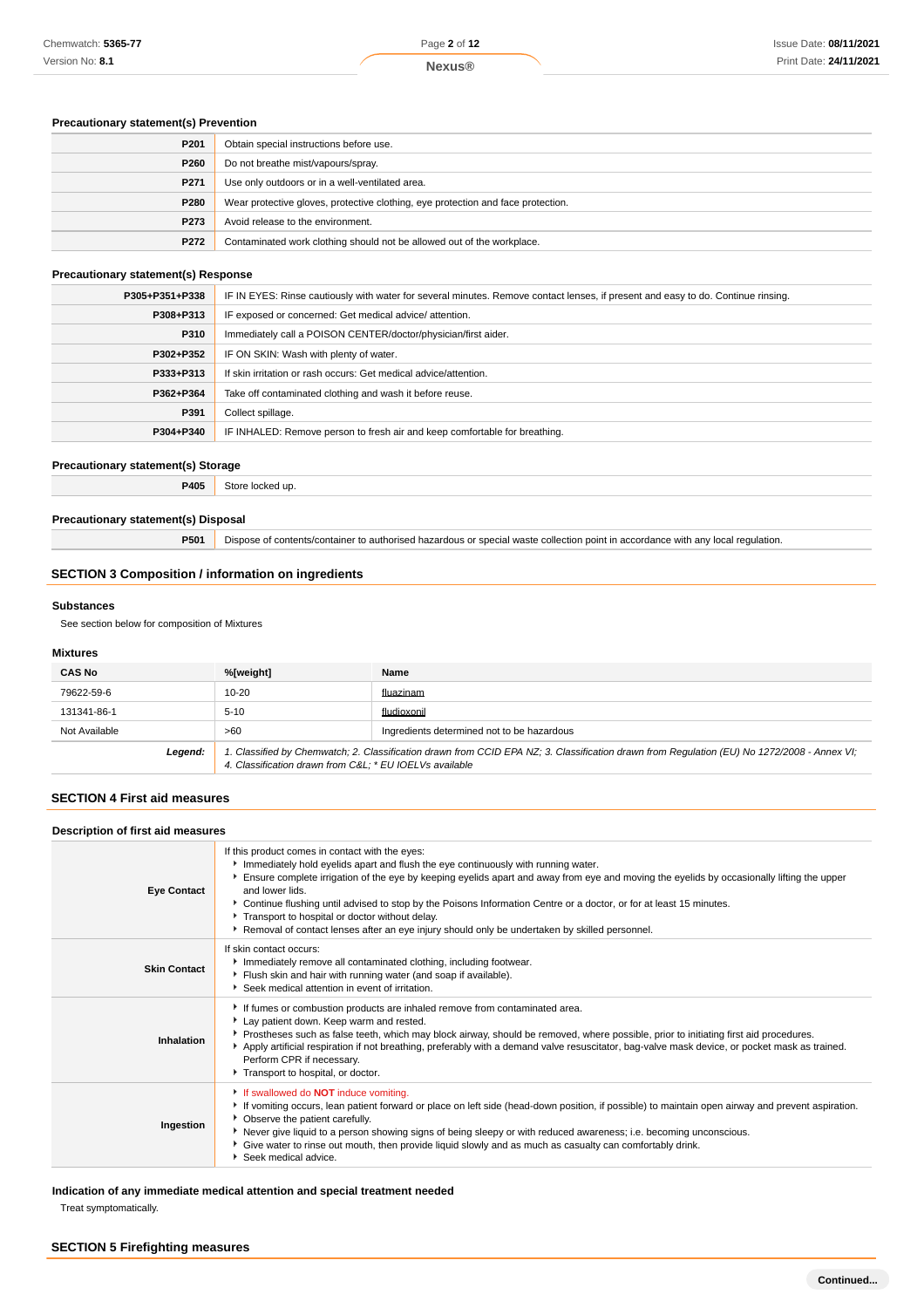### **Precautionary statement(s) Prevention**

| P201 | Obtain special instructions before use.                                          |
|------|----------------------------------------------------------------------------------|
| P260 | Do not breathe mist/vapours/spray.                                               |
| P271 | Use only outdoors or in a well-ventilated area.                                  |
| P280 | Wear protective gloves, protective clothing, eye protection and face protection. |
| P273 | Avoid release to the environment.                                                |
| P272 | Contaminated work clothing should not be allowed out of the workplace.           |

#### **Precautionary statement(s) Response**

| P305+P351+P338 | IF IN EYES: Rinse cautiously with water for several minutes. Remove contact lenses, if present and easy to do. Continue rinsing. |  |
|----------------|----------------------------------------------------------------------------------------------------------------------------------|--|
| P308+P313      | IF exposed or concerned: Get medical advice/attention.                                                                           |  |
| P310           | Immediately call a POISON CENTER/doctor/physician/first aider.                                                                   |  |
| P302+P352      | IF ON SKIN: Wash with plenty of water.                                                                                           |  |
| P333+P313      | If skin irritation or rash occurs: Get medical advice/attention.                                                                 |  |
| P362+P364      | Take off contaminated clothing and wash it before reuse.                                                                         |  |
| P391           | Collect spillage.                                                                                                                |  |
| P304+P340      | IF INHALED: Remove person to fresh air and keep comfortable for breathing.                                                       |  |

### **Precautionary statement(s) Storage**

**P405** Store locked up.

### **Precautionary statement(s) Disposal**

**P501** Dispose of contents/container to authorised hazardous or special waste collection point in accordance with any local regulation.

#### **SECTION 3 Composition / information on ingredients**

### **Substances**

See section below for composition of Mixtures

### **Mixtures**

| <b>CAS No</b> | %[weight]                                               | Name                                                                                                                                        |
|---------------|---------------------------------------------------------|---------------------------------------------------------------------------------------------------------------------------------------------|
| 79622-59-6    | $10 - 20$                                               | fluazinam                                                                                                                                   |
| 131341-86-1   | $5 - 10$                                                | fludioxonil                                                                                                                                 |
| Not Available | >60                                                     | Ingredients determined not to be hazardous                                                                                                  |
| Legend:       | 4. Classification drawn from C&L * EU IOEL Vs available | 1. Classified by Chemwatch; 2. Classification drawn from CCID EPA NZ; 3. Classification drawn from Regulation (EU) No 1272/2008 - Annex VI; |

#### **SECTION 4 First aid measures**

#### **Description of first aid measures**

| <b>Eye Contact</b>  | If this product comes in contact with the eyes:<br>Immediately hold eyelids apart and flush the eye continuously with running water.<br>Ensure complete irrigation of the eye by keeping eyelids apart and away from eye and moving the eyelids by occasionally lifting the upper<br>and lower lids.<br>▶ Continue flushing until advised to stop by the Poisons Information Centre or a doctor, or for at least 15 minutes.<br>Transport to hospital or doctor without delay.<br>Removal of contact lenses after an eye injury should only be undertaken by skilled personnel. |
|---------------------|---------------------------------------------------------------------------------------------------------------------------------------------------------------------------------------------------------------------------------------------------------------------------------------------------------------------------------------------------------------------------------------------------------------------------------------------------------------------------------------------------------------------------------------------------------------------------------|
| <b>Skin Contact</b> | If skin contact occurs:<br>Immediately remove all contaminated clothing, including footwear.<br>Flush skin and hair with running water (and soap if available).<br>Seek medical attention in event of irritation.                                                                                                                                                                                                                                                                                                                                                               |
| Inhalation          | If fumes or combustion products are inhaled remove from contaminated area.<br>Lay patient down. Keep warm and rested.<br>▶ Prostheses such as false teeth, which may block airway, should be removed, where possible, prior to initiating first aid procedures.<br>Apply artificial respiration if not breathing, preferably with a demand valve resuscitator, bag-valve mask device, or pocket mask as trained.<br>Perform CPR if necessary.<br>Transport to hospital, or doctor.                                                                                              |
| Ingestion           | If swallowed do <b>NOT</b> induce vomiting.<br>If vomiting occurs, lean patient forward or place on left side (head-down position, if possible) to maintain open airway and prevent aspiration.<br>• Observe the patient carefully.<br>▶ Never give liquid to a person showing signs of being sleepy or with reduced awareness; i.e. becoming unconscious.<br>▶ Give water to rinse out mouth, then provide liquid slowly and as much as casualty can comfortably drink.<br>Seek medical advice.                                                                                |

## **Indication of any immediate medical attention and special treatment needed**

Treat symptomatically.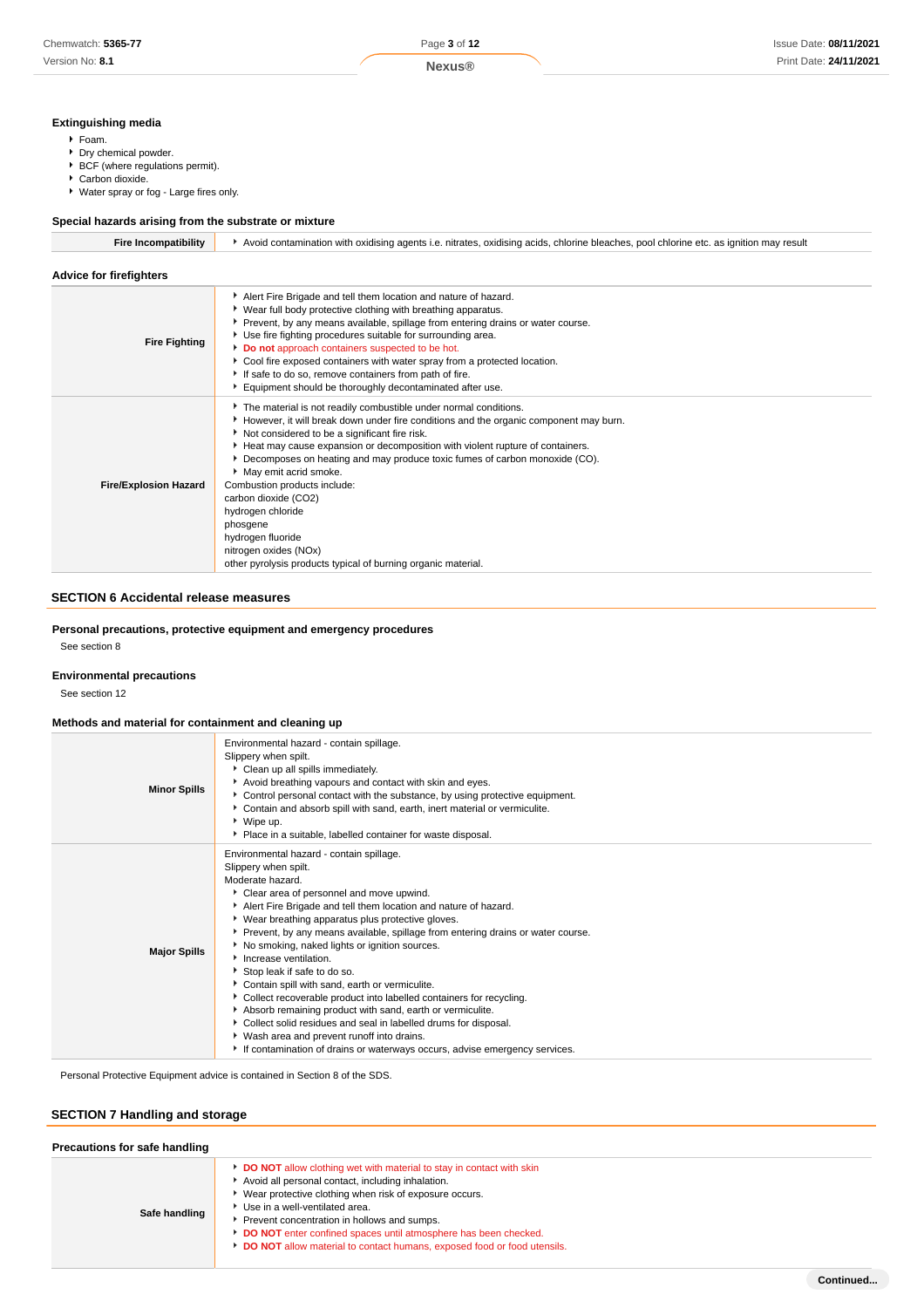### **Extinguishing media**

- Foam.
- Dry chemical powder.
- BCF (where regulations permit).
- ▶ Carbon dioxide.
- Water spray or fog Large fires only.

### **Special hazards arising from the substrate or mixture**

| <b>Fire Incompatibility</b>  | Avoid contamination with oxidising agents i.e. nitrates, oxidising acids, chlorine bleaches, pool chlorine etc. as ignition may result                                                                                                                                                                                                                                                                                                                                                                                                                                                                     |  |  |
|------------------------------|------------------------------------------------------------------------------------------------------------------------------------------------------------------------------------------------------------------------------------------------------------------------------------------------------------------------------------------------------------------------------------------------------------------------------------------------------------------------------------------------------------------------------------------------------------------------------------------------------------|--|--|
| Advice for firefighters      |                                                                                                                                                                                                                                                                                                                                                                                                                                                                                                                                                                                                            |  |  |
| <b>Fire Fighting</b>         | Alert Fire Brigade and tell them location and nature of hazard.<br>▶ Wear full body protective clothing with breathing apparatus.<br>▶ Prevent, by any means available, spillage from entering drains or water course.<br>▶ Use fire fighting procedures suitable for surrounding area.<br>Do not approach containers suspected to be hot.<br>Cool fire exposed containers with water spray from a protected location.<br>If safe to do so, remove containers from path of fire.<br>Equipment should be thoroughly decontaminated after use.                                                               |  |  |
| <b>Fire/Explosion Hazard</b> | The material is not readily combustible under normal conditions.<br>However, it will break down under fire conditions and the organic component may burn.<br>Not considered to be a significant fire risk.<br>Heat may cause expansion or decomposition with violent rupture of containers.<br>Decomposes on heating and may produce toxic fumes of carbon monoxide (CO).<br>May emit acrid smoke.<br>Combustion products include:<br>carbon dioxide (CO2)<br>hydrogen chloride<br>phosgene<br>hydrogen fluoride<br>nitrogen oxides (NOx)<br>other pyrolysis products typical of burning organic material. |  |  |

## **SECTION 6 Accidental release measures**

**Personal precautions, protective equipment and emergency procedures**

See section 8

### **Environmental precautions**

See section 12

### **Methods and material for containment and cleaning up**

| Environmental hazard - contain spillage.<br>Slippery when spilt.<br>Clean up all spills immediately.<br>Avoid breathing vapours and contact with skin and eyes.<br><b>Minor Spills</b><br>▶ Control personal contact with the substance, by using protective equipment.<br>Contain and absorb spill with sand, earth, inert material or vermiculite.<br>▶ Wipe up.<br>Place in a suitable, labelled container for waste disposal.<br>Environmental hazard - contain spillage.<br>Slippery when spilt.<br>Moderate hazard.<br>Clear area of personnel and move upwind.<br>Alert Fire Brigade and tell them location and nature of hazard.<br>▶ Wear breathing apparatus plus protective gloves.<br>▶ Prevent, by any means available, spillage from entering drains or water course.<br>No smoking, naked lights or ignition sources.<br><b>Major Spills</b><br>Increase ventilation.<br>Stop leak if safe to do so.<br>Contain spill with sand, earth or vermiculite.<br>Collect recoverable product into labelled containers for recycling.<br>Absorb remaining product with sand, earth or vermiculite.<br>Collect solid residues and seal in labelled drums for disposal.<br>Wash area and prevent runoff into drains. |  |
|---------------------------------------------------------------------------------------------------------------------------------------------------------------------------------------------------------------------------------------------------------------------------------------------------------------------------------------------------------------------------------------------------------------------------------------------------------------------------------------------------------------------------------------------------------------------------------------------------------------------------------------------------------------------------------------------------------------------------------------------------------------------------------------------------------------------------------------------------------------------------------------------------------------------------------------------------------------------------------------------------------------------------------------------------------------------------------------------------------------------------------------------------------------------------------------------------------------------------|--|
|                                                                                                                                                                                                                                                                                                                                                                                                                                                                                                                                                                                                                                                                                                                                                                                                                                                                                                                                                                                                                                                                                                                                                                                                                           |  |
| If contamination of drains or waterways occurs, advise emergency services.                                                                                                                                                                                                                                                                                                                                                                                                                                                                                                                                                                                                                                                                                                                                                                                                                                                                                                                                                                                                                                                                                                                                                |  |

Personal Protective Equipment advice is contained in Section 8 of the SDS.

### **SECTION 7 Handling and storage**

| Precautions for safe handling |                                                                                                                                                                                                                                                                                                                                                                                                                           |  |
|-------------------------------|---------------------------------------------------------------------------------------------------------------------------------------------------------------------------------------------------------------------------------------------------------------------------------------------------------------------------------------------------------------------------------------------------------------------------|--|
| Safe handling                 | <b>DO NOT</b> allow clothing wet with material to stay in contact with skin<br>Avoid all personal contact, including inhalation.<br>Wear protective clothing when risk of exposure occurs.<br>Use in a well-ventilated area.<br>Prevent concentration in hollows and sumps.<br>DO NOT enter confined spaces until atmosphere has been checked.<br>DO NOT allow material to contact humans, exposed food or food utensils. |  |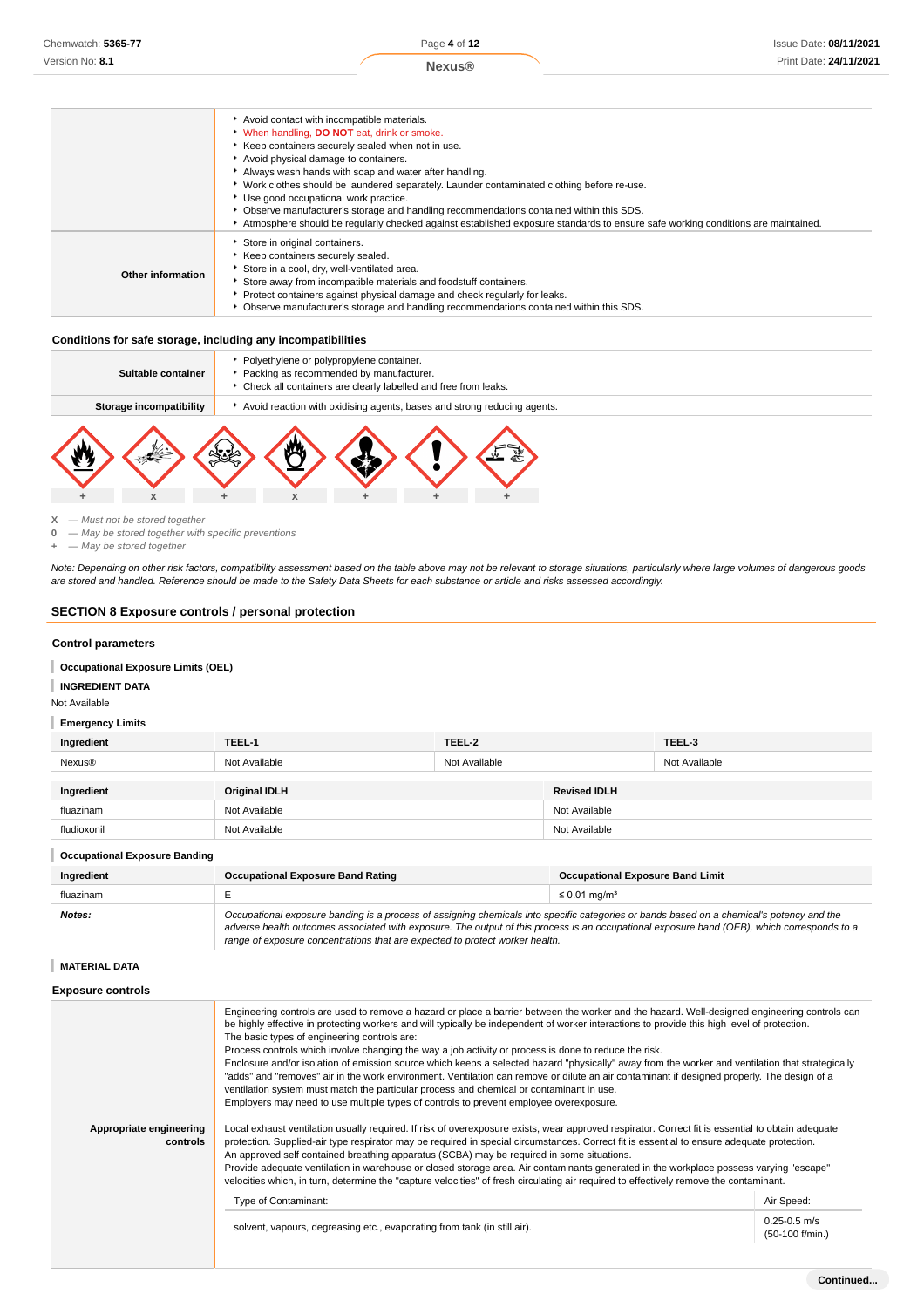|                   | Avoid contact with incompatible materials.<br>V When handling, DO NOT eat, drink or smoke.<br>▶ Keep containers securely sealed when not in use.<br>Avoid physical damage to containers.<br>Always wash hands with soap and water after handling.<br>▶ Work clothes should be laundered separately. Launder contaminated clothing before re-use.<br>▶ Use good occupational work practice.<br>▶ Observe manufacturer's storage and handling recommendations contained within this SDS.<br>Atmosphere should be regularly checked against established exposure standards to ensure safe working conditions are maintained. |
|-------------------|---------------------------------------------------------------------------------------------------------------------------------------------------------------------------------------------------------------------------------------------------------------------------------------------------------------------------------------------------------------------------------------------------------------------------------------------------------------------------------------------------------------------------------------------------------------------------------------------------------------------------|
| Other information | Store in original containers.<br>Keep containers securely sealed.<br>Store in a cool, dry, well-ventilated area.<br>Store away from incompatible materials and foodstuff containers.<br>Protect containers against physical damage and check regularly for leaks.<br>• Observe manufacturer's storage and handling recommendations contained within this SDS.                                                                                                                                                                                                                                                             |

#### **Conditions for safe storage, including any incompatibilities**

| Suitable container      | ▶ Polyethylene or polypropylene container.<br>Packing as recommended by manufacturer.<br>▶ Check all containers are clearly labelled and free from leaks. |  |  |  |  |
|-------------------------|-----------------------------------------------------------------------------------------------------------------------------------------------------------|--|--|--|--|
| Storage incompatibility | Avoid reaction with oxidising agents, bases and strong reducing agents.                                                                                   |  |  |  |  |
|                         |                                                                                                                                                           |  |  |  |  |

**X** — Must not be stored together

**0** — May be stored together with specific preventions

**+** — May be stored together

Note: Depending on other risk factors, compatibility assessment based on the table above may not be relevant to storage situations, particularly where large volumes of dangerous goods are stored and handled. Reference should be made to the Safety Data Sheets for each substance or article and risks assessed accordingly.

### **SECTION 8 Exposure controls / personal protection**

#### **Control parameters**

**Occupational Exposure Limits (OEL)**

**INGREDIENT DATA**

Not Available

### **Emergency Limits**

| Ingredient    | TEEL-1        | TEEL-2        |                     | TEEL-3        |
|---------------|---------------|---------------|---------------------|---------------|
| <b>Nexus®</b> | Not Available | Not Available |                     | Not Available |
|               |               |               |                     |               |
| Ingredient    | Original IDLH |               | <b>Revised IDLH</b> |               |
| fluazinam     | Not Available |               | Not Available       |               |
| fludioxonil   | Not Available |               | Not Available       |               |

#### **Occupational Exposure Banding**

| Ingredient | <b>Occupational Exposure Band Rating</b>                                                                                                                                                                                                                                                                                                                                 | <b>Occupational Exposure Band Limit</b> |  |
|------------|--------------------------------------------------------------------------------------------------------------------------------------------------------------------------------------------------------------------------------------------------------------------------------------------------------------------------------------------------------------------------|-----------------------------------------|--|
| fluazinam  |                                                                                                                                                                                                                                                                                                                                                                          | $\leq$ 0.01 mg/m <sup>3</sup>           |  |
| Notes:     | Occupational exposure banding is a process of assigning chemicals into specific categories or bands based on a chemical's potency and the<br>adverse health outcomes associated with exposure. The output of this process is an occupational exposure band (OEB), which corresponds to a<br>range of exposure concentrations that are expected to protect worker health. |                                         |  |

### **MATERIAL DATA**

#### **Exposure controls**

| Appropriate engineering<br>controls | Engineering controls are used to remove a hazard or place a barrier between the worker and the hazard. Well-designed engineering controls can<br>be highly effective in protecting workers and will typically be independent of worker interactions to provide this high level of protection.<br>The basic types of engineering controls are:<br>Process controls which involve changing the way a job activity or process is done to reduce the risk.<br>Enclosure and/or isolation of emission source which keeps a selected hazard "physically" away from the worker and ventilation that strategically<br>"adds" and "removes" air in the work environment. Ventilation can remove or dilute an air contaminant if designed properly. The design of a<br>ventilation system must match the particular process and chemical or contaminant in use.<br>Employers may need to use multiple types of controls to prevent employee overexposure.<br>Local exhaust ventilation usually required. If risk of overexposure exists, wear approved respirator. Correct fit is essential to obtain adequate<br>protection. Supplied-air type respirator may be required in special circumstances. Correct fit is essential to ensure adequate protection.<br>An approved self contained breathing apparatus (SCBA) may be required in some situations.<br>Provide adequate ventilation in warehouse or closed storage area. Air contaminants generated in the workplace possess varying "escape"<br>velocities which, in turn, determine the "capture velocities" of fresh circulating air required to effectively remove the contaminant. |            |
|-------------------------------------|-------------------------------------------------------------------------------------------------------------------------------------------------------------------------------------------------------------------------------------------------------------------------------------------------------------------------------------------------------------------------------------------------------------------------------------------------------------------------------------------------------------------------------------------------------------------------------------------------------------------------------------------------------------------------------------------------------------------------------------------------------------------------------------------------------------------------------------------------------------------------------------------------------------------------------------------------------------------------------------------------------------------------------------------------------------------------------------------------------------------------------------------------------------------------------------------------------------------------------------------------------------------------------------------------------------------------------------------------------------------------------------------------------------------------------------------------------------------------------------------------------------------------------------------------------------------------------------------------------------------------------------|------------|
|                                     | Type of Contaminant:                                                                                                                                                                                                                                                                                                                                                                                                                                                                                                                                                                                                                                                                                                                                                                                                                                                                                                                                                                                                                                                                                                                                                                                                                                                                                                                                                                                                                                                                                                                                                                                                                | Air Speed: |
|                                     | $0.25 - 0.5$ m/s<br>solvent, vapours, degreasing etc., evaporating from tank (in still air).<br>$(50-100)$ f/min.)                                                                                                                                                                                                                                                                                                                                                                                                                                                                                                                                                                                                                                                                                                                                                                                                                                                                                                                                                                                                                                                                                                                                                                                                                                                                                                                                                                                                                                                                                                                  |            |
|                                     |                                                                                                                                                                                                                                                                                                                                                                                                                                                                                                                                                                                                                                                                                                                                                                                                                                                                                                                                                                                                                                                                                                                                                                                                                                                                                                                                                                                                                                                                                                                                                                                                                                     |            |
|                                     |                                                                                                                                                                                                                                                                                                                                                                                                                                                                                                                                                                                                                                                                                                                                                                                                                                                                                                                                                                                                                                                                                                                                                                                                                                                                                                                                                                                                                                                                                                                                                                                                                                     |            |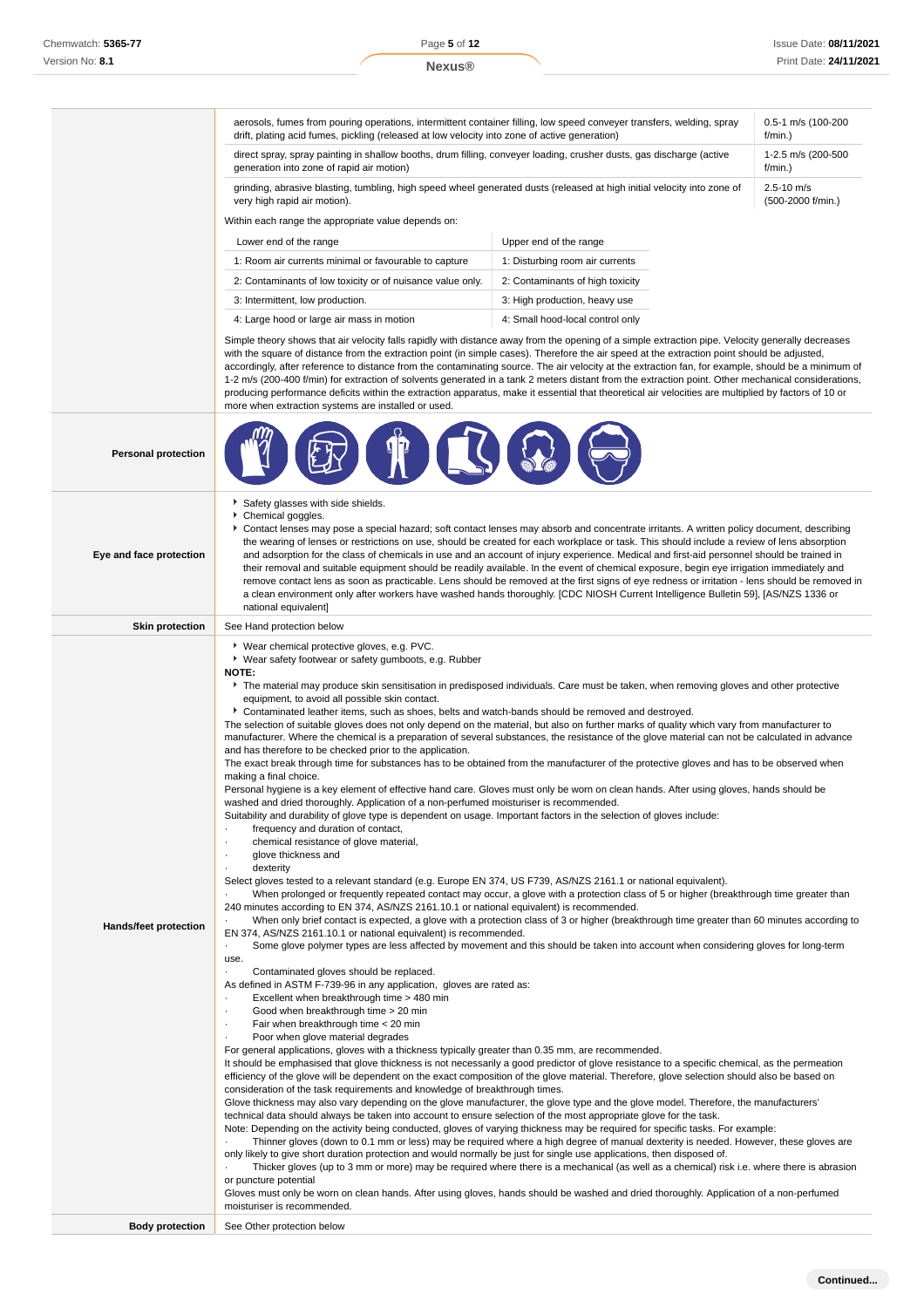|                              | aerosols, fumes from pouring operations, intermittent container filling, low speed conveyer transfers, welding, spray<br>drift, plating acid fumes, pickling (released at low velocity into zone of active generation)                                                                                                                                                                                                                                                                                                                                                                                                                                                                                                                                                                                                                                                                                                                                                                                                                                                                                                                                                                                                                                                                                                                                                                                                                                                                                                                                                                                                                                                                                                                                                                                                                                                                                                                                                                                                                                                                                                                                                                                                                                                                                                                                                                                                                                                                                                                                                                                                                                                                                                                                                                                                                                                                                                                                                                                                                                                                                                                                                                                                                                                                                                                                                                                                                                                                                                                                                                                                                                                                                                                                                                                 |                                     | 0.5-1 m/s (100-200<br>f/min.) |
|------------------------------|--------------------------------------------------------------------------------------------------------------------------------------------------------------------------------------------------------------------------------------------------------------------------------------------------------------------------------------------------------------------------------------------------------------------------------------------------------------------------------------------------------------------------------------------------------------------------------------------------------------------------------------------------------------------------------------------------------------------------------------------------------------------------------------------------------------------------------------------------------------------------------------------------------------------------------------------------------------------------------------------------------------------------------------------------------------------------------------------------------------------------------------------------------------------------------------------------------------------------------------------------------------------------------------------------------------------------------------------------------------------------------------------------------------------------------------------------------------------------------------------------------------------------------------------------------------------------------------------------------------------------------------------------------------------------------------------------------------------------------------------------------------------------------------------------------------------------------------------------------------------------------------------------------------------------------------------------------------------------------------------------------------------------------------------------------------------------------------------------------------------------------------------------------------------------------------------------------------------------------------------------------------------------------------------------------------------------------------------------------------------------------------------------------------------------------------------------------------------------------------------------------------------------------------------------------------------------------------------------------------------------------------------------------------------------------------------------------------------------------------------------------------------------------------------------------------------------------------------------------------------------------------------------------------------------------------------------------------------------------------------------------------------------------------------------------------------------------------------------------------------------------------------------------------------------------------------------------------------------------------------------------------------------------------------------------------------------------------------------------------------------------------------------------------------------------------------------------------------------------------------------------------------------------------------------------------------------------------------------------------------------------------------------------------------------------------------------------------------------------------------------------------------------------------------------------|-------------------------------------|-------------------------------|
|                              | direct spray, spray painting in shallow booths, drum filling, conveyer loading, crusher dusts, gas discharge (active<br>generation into zone of rapid air motion)                                                                                                                                                                                                                                                                                                                                                                                                                                                                                                                                                                                                                                                                                                                                                                                                                                                                                                                                                                                                                                                                                                                                                                                                                                                                                                                                                                                                                                                                                                                                                                                                                                                                                                                                                                                                                                                                                                                                                                                                                                                                                                                                                                                                                                                                                                                                                                                                                                                                                                                                                                                                                                                                                                                                                                                                                                                                                                                                                                                                                                                                                                                                                                                                                                                                                                                                                                                                                                                                                                                                                                                                                                      | 1-2.5 m/s (200-500<br>f/min.)       |                               |
|                              | grinding, abrasive blasting, tumbling, high speed wheel generated dusts (released at high initial velocity into zone of<br>very high rapid air motion).                                                                                                                                                                                                                                                                                                                                                                                                                                                                                                                                                                                                                                                                                                                                                                                                                                                                                                                                                                                                                                                                                                                                                                                                                                                                                                                                                                                                                                                                                                                                                                                                                                                                                                                                                                                                                                                                                                                                                                                                                                                                                                                                                                                                                                                                                                                                                                                                                                                                                                                                                                                                                                                                                                                                                                                                                                                                                                                                                                                                                                                                                                                                                                                                                                                                                                                                                                                                                                                                                                                                                                                                                                                | $2.5 - 10$ m/s<br>(500-2000 f/min.) |                               |
|                              | Within each range the appropriate value depends on:                                                                                                                                                                                                                                                                                                                                                                                                                                                                                                                                                                                                                                                                                                                                                                                                                                                                                                                                                                                                                                                                                                                                                                                                                                                                                                                                                                                                                                                                                                                                                                                                                                                                                                                                                                                                                                                                                                                                                                                                                                                                                                                                                                                                                                                                                                                                                                                                                                                                                                                                                                                                                                                                                                                                                                                                                                                                                                                                                                                                                                                                                                                                                                                                                                                                                                                                                                                                                                                                                                                                                                                                                                                                                                                                                    |                                     |                               |
|                              | Lower end of the range                                                                                                                                                                                                                                                                                                                                                                                                                                                                                                                                                                                                                                                                                                                                                                                                                                                                                                                                                                                                                                                                                                                                                                                                                                                                                                                                                                                                                                                                                                                                                                                                                                                                                                                                                                                                                                                                                                                                                                                                                                                                                                                                                                                                                                                                                                                                                                                                                                                                                                                                                                                                                                                                                                                                                                                                                                                                                                                                                                                                                                                                                                                                                                                                                                                                                                                                                                                                                                                                                                                                                                                                                                                                                                                                                                                 | Upper end of the range              |                               |
|                              | 1: Room air currents minimal or favourable to capture                                                                                                                                                                                                                                                                                                                                                                                                                                                                                                                                                                                                                                                                                                                                                                                                                                                                                                                                                                                                                                                                                                                                                                                                                                                                                                                                                                                                                                                                                                                                                                                                                                                                                                                                                                                                                                                                                                                                                                                                                                                                                                                                                                                                                                                                                                                                                                                                                                                                                                                                                                                                                                                                                                                                                                                                                                                                                                                                                                                                                                                                                                                                                                                                                                                                                                                                                                                                                                                                                                                                                                                                                                                                                                                                                  | 1: Disturbing room air currents     |                               |
|                              | 2: Contaminants of low toxicity or of nuisance value only.                                                                                                                                                                                                                                                                                                                                                                                                                                                                                                                                                                                                                                                                                                                                                                                                                                                                                                                                                                                                                                                                                                                                                                                                                                                                                                                                                                                                                                                                                                                                                                                                                                                                                                                                                                                                                                                                                                                                                                                                                                                                                                                                                                                                                                                                                                                                                                                                                                                                                                                                                                                                                                                                                                                                                                                                                                                                                                                                                                                                                                                                                                                                                                                                                                                                                                                                                                                                                                                                                                                                                                                                                                                                                                                                             | 2: Contaminants of high toxicity    |                               |
|                              | 3: Intermittent, low production.                                                                                                                                                                                                                                                                                                                                                                                                                                                                                                                                                                                                                                                                                                                                                                                                                                                                                                                                                                                                                                                                                                                                                                                                                                                                                                                                                                                                                                                                                                                                                                                                                                                                                                                                                                                                                                                                                                                                                                                                                                                                                                                                                                                                                                                                                                                                                                                                                                                                                                                                                                                                                                                                                                                                                                                                                                                                                                                                                                                                                                                                                                                                                                                                                                                                                                                                                                                                                                                                                                                                                                                                                                                                                                                                                                       | 3: High production, heavy use       |                               |
|                              | 4: Large hood or large air mass in motion                                                                                                                                                                                                                                                                                                                                                                                                                                                                                                                                                                                                                                                                                                                                                                                                                                                                                                                                                                                                                                                                                                                                                                                                                                                                                                                                                                                                                                                                                                                                                                                                                                                                                                                                                                                                                                                                                                                                                                                                                                                                                                                                                                                                                                                                                                                                                                                                                                                                                                                                                                                                                                                                                                                                                                                                                                                                                                                                                                                                                                                                                                                                                                                                                                                                                                                                                                                                                                                                                                                                                                                                                                                                                                                                                              | 4: Small hood-local control only    |                               |
|                              | Simple theory shows that air velocity falls rapidly with distance away from the opening of a simple extraction pipe. Velocity generally decreases<br>with the square of distance from the extraction point (in simple cases). Therefore the air speed at the extraction point should be adjusted,<br>accordingly, after reference to distance from the contaminating source. The air velocity at the extraction fan, for example, should be a minimum of<br>1-2 m/s (200-400 f/min) for extraction of solvents generated in a tank 2 meters distant from the extraction point. Other mechanical considerations,<br>producing performance deficits within the extraction apparatus, make it essential that theoretical air velocities are multiplied by factors of 10 or<br>more when extraction systems are installed or used.                                                                                                                                                                                                                                                                                                                                                                                                                                                                                                                                                                                                                                                                                                                                                                                                                                                                                                                                                                                                                                                                                                                                                                                                                                                                                                                                                                                                                                                                                                                                                                                                                                                                                                                                                                                                                                                                                                                                                                                                                                                                                                                                                                                                                                                                                                                                                                                                                                                                                                                                                                                                                                                                                                                                                                                                                                                                                                                                                                         |                                     |                               |
| <b>Personal protection</b>   |                                                                                                                                                                                                                                                                                                                                                                                                                                                                                                                                                                                                                                                                                                                                                                                                                                                                                                                                                                                                                                                                                                                                                                                                                                                                                                                                                                                                                                                                                                                                                                                                                                                                                                                                                                                                                                                                                                                                                                                                                                                                                                                                                                                                                                                                                                                                                                                                                                                                                                                                                                                                                                                                                                                                                                                                                                                                                                                                                                                                                                                                                                                                                                                                                                                                                                                                                                                                                                                                                                                                                                                                                                                                                                                                                                                                        |                                     |                               |
| Eye and face protection      | Safety glasses with side shields.<br>Chemical goggles.<br>Contact lenses may pose a special hazard; soft contact lenses may absorb and concentrate irritants. A written policy document, describing<br>the wearing of lenses or restrictions on use, should be created for each workplace or task. This should include a review of lens absorption<br>and adsorption for the class of chemicals in use and an account of injury experience. Medical and first-aid personnel should be trained in<br>their removal and suitable equipment should be readily available. In the event of chemical exposure, begin eye irrigation immediately and<br>remove contact lens as soon as practicable. Lens should be removed at the first signs of eye redness or irritation - lens should be removed in<br>a clean environment only after workers have washed hands thoroughly. [CDC NIOSH Current Intelligence Bulletin 59], [AS/NZS 1336 or<br>national equivalent]                                                                                                                                                                                                                                                                                                                                                                                                                                                                                                                                                                                                                                                                                                                                                                                                                                                                                                                                                                                                                                                                                                                                                                                                                                                                                                                                                                                                                                                                                                                                                                                                                                                                                                                                                                                                                                                                                                                                                                                                                                                                                                                                                                                                                                                                                                                                                                                                                                                                                                                                                                                                                                                                                                                                                                                                                                          |                                     |                               |
| <b>Skin protection</b>       | See Hand protection below                                                                                                                                                                                                                                                                                                                                                                                                                                                                                                                                                                                                                                                                                                                                                                                                                                                                                                                                                                                                                                                                                                                                                                                                                                                                                                                                                                                                                                                                                                                                                                                                                                                                                                                                                                                                                                                                                                                                                                                                                                                                                                                                                                                                                                                                                                                                                                                                                                                                                                                                                                                                                                                                                                                                                                                                                                                                                                                                                                                                                                                                                                                                                                                                                                                                                                                                                                                                                                                                                                                                                                                                                                                                                                                                                                              |                                     |                               |
| <b>Hands/feet protection</b> | ▶ Wear chemical protective gloves, e.g. PVC.<br>▶ Wear safety footwear or safety gumboots, e.g. Rubber<br>NOTE:<br>▶ The material may produce skin sensitisation in predisposed individuals. Care must be taken, when removing gloves and other protective<br>equipment, to avoid all possible skin contact.<br>▶ Contaminated leather items, such as shoes, belts and watch-bands should be removed and destroyed.<br>The selection of suitable gloves does not only depend on the material, but also on further marks of quality which vary from manufacturer to<br>manufacturer. Where the chemical is a preparation of several substances, the resistance of the glove material can not be calculated in advance<br>and has therefore to be checked prior to the application.<br>The exact break through time for substances has to be obtained from the manufacturer of the protective gloves and has to be observed when<br>making a final choice.<br>Personal hygiene is a key element of effective hand care. Gloves must only be worn on clean hands. After using gloves, hands should be<br>washed and dried thoroughly. Application of a non-perfumed moisturiser is recommended.<br>Suitability and durability of glove type is dependent on usage. Important factors in the selection of gloves include:<br>frequency and duration of contact,<br>chemical resistance of glove material,<br>glove thickness and<br>dexterity<br>Select gloves tested to a relevant standard (e.g. Europe EN 374, US F739, AS/NZS 2161.1 or national equivalent).<br>When prolonged or frequently repeated contact may occur, a glove with a protection class of 5 or higher (breakthrough time greater than<br>240 minutes according to EN 374, AS/NZS 2161.10.1 or national equivalent) is recommended.<br>When only brief contact is expected, a glove with a protection class of 3 or higher (breakthrough time greater than 60 minutes according to<br>EN 374, AS/NZS 2161.10.1 or national equivalent) is recommended.<br>Some glove polymer types are less affected by movement and this should be taken into account when considering gloves for long-term<br>$\cdot$<br>use.<br>Contaminated gloves should be replaced.<br>As defined in ASTM F-739-96 in any application, gloves are rated as:<br>Excellent when breakthrough time > 480 min<br>Good when breakthrough time > 20 min<br>Fair when breakthrough time < 20 min<br>Poor when glove material degrades<br>For general applications, gloves with a thickness typically greater than 0.35 mm, are recommended.<br>It should be emphasised that glove thickness is not necessarily a good predictor of glove resistance to a specific chemical, as the permeation<br>efficiency of the glove will be dependent on the exact composition of the glove material. Therefore, glove selection should also be based on<br>consideration of the task requirements and knowledge of breakthrough times.<br>Glove thickness may also vary depending on the glove manufacturer, the glove type and the glove model. Therefore, the manufacturers'<br>technical data should always be taken into account to ensure selection of the most appropriate glove for the task.<br>Note: Depending on the activity being conducted, gloves of varying thickness may be required for specific tasks. For example:<br>Thinner gloves (down to 0.1 mm or less) may be required where a high degree of manual dexterity is needed. However, these gloves are<br>only likely to give short duration protection and would normally be just for single use applications, then disposed of.<br>Thicker gloves (up to 3 mm or more) may be required where there is a mechanical (as well as a chemical) risk i.e. where there is abrasion<br>or puncture potential |                                     |                               |
|                              | moisturiser is recommended.                                                                                                                                                                                                                                                                                                                                                                                                                                                                                                                                                                                                                                                                                                                                                                                                                                                                                                                                                                                                                                                                                                                                                                                                                                                                                                                                                                                                                                                                                                                                                                                                                                                                                                                                                                                                                                                                                                                                                                                                                                                                                                                                                                                                                                                                                                                                                                                                                                                                                                                                                                                                                                                                                                                                                                                                                                                                                                                                                                                                                                                                                                                                                                                                                                                                                                                                                                                                                                                                                                                                                                                                                                                                                                                                                                            |                                     |                               |
| <b>Body protection</b>       | See Other protection below                                                                                                                                                                                                                                                                                                                                                                                                                                                                                                                                                                                                                                                                                                                                                                                                                                                                                                                                                                                                                                                                                                                                                                                                                                                                                                                                                                                                                                                                                                                                                                                                                                                                                                                                                                                                                                                                                                                                                                                                                                                                                                                                                                                                                                                                                                                                                                                                                                                                                                                                                                                                                                                                                                                                                                                                                                                                                                                                                                                                                                                                                                                                                                                                                                                                                                                                                                                                                                                                                                                                                                                                                                                                                                                                                                             |                                     |                               |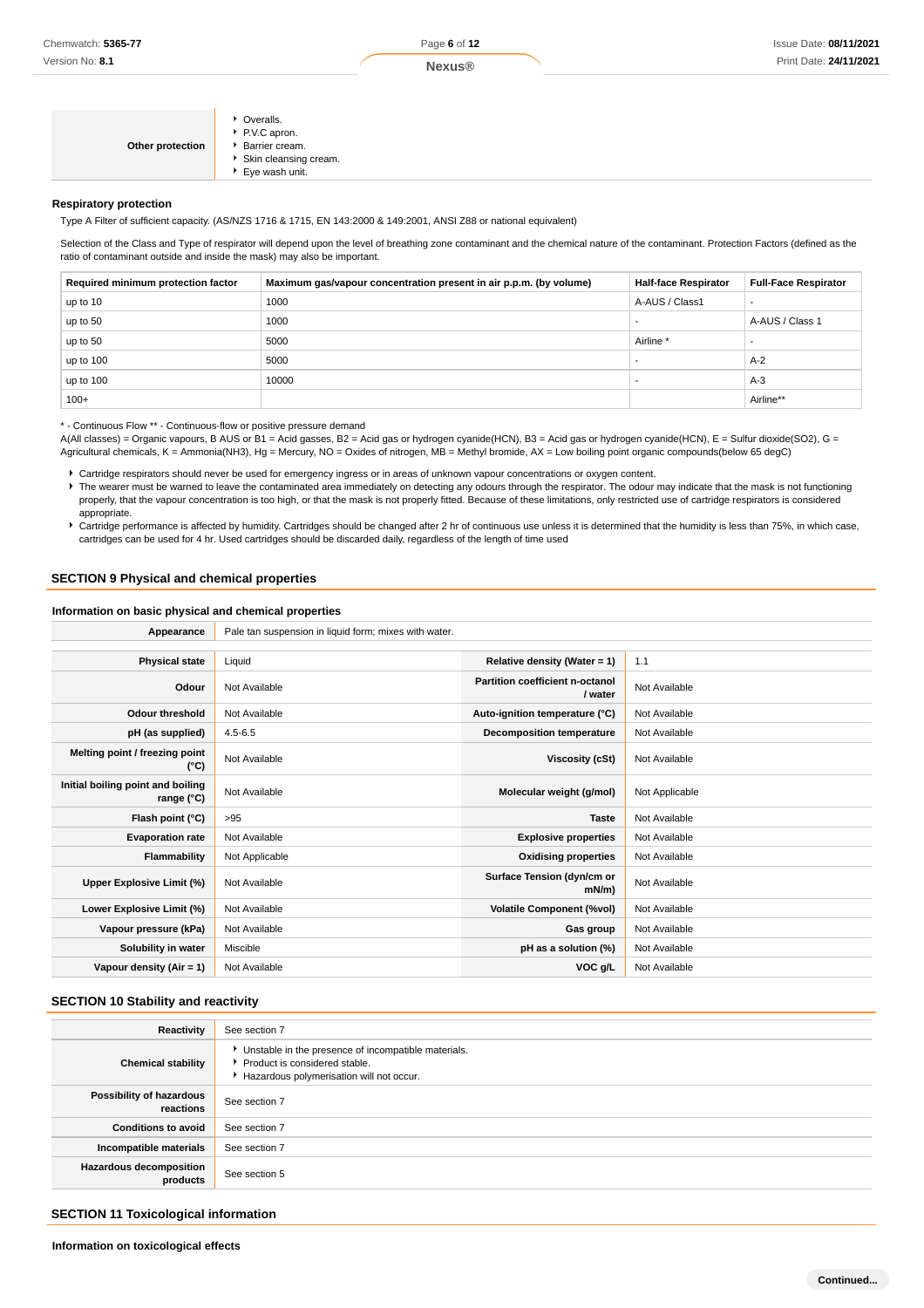| Other protection | • Overalls.<br>P.V.C apron.<br>▶ Barrier cream.<br>Skin cleansing cream.<br>▶ Eye wash unit. |
|------------------|----------------------------------------------------------------------------------------------|
|------------------|----------------------------------------------------------------------------------------------|

#### **Respiratory protection**

Type A Filter of sufficient capacity. (AS/NZS 1716 & 1715, EN 143:2000 & 149:2001, ANSI Z88 or national equivalent)

Selection of the Class and Type of respirator will depend upon the level of breathing zone contaminant and the chemical nature of the contaminant. Protection Factors (defined as the ratio of contaminant outside and inside the mask) may also be important.

| Required minimum protection factor | Maximum gas/vapour concentration present in air p.p.m. (by volume) | <b>Half-face Respirator</b> | <b>Full-Face Respirator</b> |
|------------------------------------|--------------------------------------------------------------------|-----------------------------|-----------------------------|
| up to 10                           | 1000                                                               | A-AUS / Class1              |                             |
| up to 50                           | 1000                                                               |                             | A-AUS / Class 1             |
| up to 50                           | 5000                                                               | Airline <sup>*</sup>        |                             |
| up to $100$                        | 5000                                                               |                             | $A-2$                       |
| up to $100$                        | 10000                                                              |                             | $A-3$                       |
| $100+$                             |                                                                    |                             | Airline**                   |

\* - Continuous Flow \*\* - Continuous-flow or positive pressure demand

A(All classes) = Organic vapours, B AUS or B1 = Acid gasses, B2 = Acid gas or hydrogen cyanide(HCN), B3 = Acid gas or hydrogen cyanide(HCN), E = Sulfur dioxide(SO2), G = Agricultural chemicals, K = Ammonia(NH3), Hg = Mercury, NO = Oxides of nitrogen, MB = Methyl bromide, AX = Low boiling point organic compounds(below 65 degC)

Cartridge respirators should never be used for emergency ingress or in areas of unknown vapour concentrations or oxygen content.

The wearer must be warned to leave the contaminated area immediately on detecting any odours through the respirator. The odour may indicate that the mask is not functioning properly, that the vapour concentration is too high, or that the mask is not properly fitted. Because of these limitations, only restricted use of cartridge respirators is considered appropriate.

Cartridge performance is affected by humidity. Cartridges should be changed after 2 hr of continuous use unless it is determined that the humidity is less than 75%, in which case, cartridges can be used for 4 hr. Used cartridges should be discarded daily, regardless of the length of time used

#### **SECTION 9 Physical and chemical properties**

**Information on basic physical and chemical properties**

| Appearance                                      | Pale tan suspension in liquid form; mixes with water. |                                            |                |
|-------------------------------------------------|-------------------------------------------------------|--------------------------------------------|----------------|
|                                                 |                                                       |                                            |                |
| <b>Physical state</b>                           | Liquid                                                | Relative density (Water = 1)               | 1.1            |
| Odour                                           | Not Available                                         | Partition coefficient n-octanol<br>/ water | Not Available  |
| <b>Odour threshold</b>                          | Not Available                                         | Auto-ignition temperature (°C)             | Not Available  |
| pH (as supplied)                                | $4.5 - 6.5$                                           | Decomposition temperature                  | Not Available  |
| Melting point / freezing point<br>(°C)          | Not Available                                         | Viscosity (cSt)                            | Not Available  |
| Initial boiling point and boiling<br>range (°C) | Not Available                                         | Molecular weight (g/mol)                   | Not Applicable |
| Flash point (°C)                                | >95                                                   | <b>Taste</b>                               | Not Available  |
| <b>Evaporation rate</b>                         | Not Available                                         | <b>Explosive properties</b>                | Not Available  |
| Flammability                                    | Not Applicable                                        | <b>Oxidising properties</b>                | Not Available  |
| Upper Explosive Limit (%)                       | Not Available                                         | Surface Tension (dyn/cm or<br>$mN/m$ )     | Not Available  |
| Lower Explosive Limit (%)                       | Not Available                                         | <b>Volatile Component (%vol)</b>           | Not Available  |
| Vapour pressure (kPa)                           | Not Available                                         | Gas group                                  | Not Available  |
| Solubility in water                             | Miscible                                              | pH as a solution (%)                       | Not Available  |
| Vapour density $(Air = 1)$                      | Not Available                                         | VOC g/L                                    | Not Available  |

#### **SECTION 10 Stability and reactivity**

| Reactivity                                 | See section 7                                                                                                                      |
|--------------------------------------------|------------------------------------------------------------------------------------------------------------------------------------|
| <b>Chemical stability</b>                  | Unstable in the presence of incompatible materials.<br>▶ Product is considered stable.<br>Hazardous polymerisation will not occur. |
| Possibility of hazardous<br>reactions      | See section 7                                                                                                                      |
| <b>Conditions to avoid</b>                 | See section 7                                                                                                                      |
| Incompatible materials                     | See section 7                                                                                                                      |
| <b>Hazardous decomposition</b><br>products | See section 5                                                                                                                      |

### **SECTION 11 Toxicological information**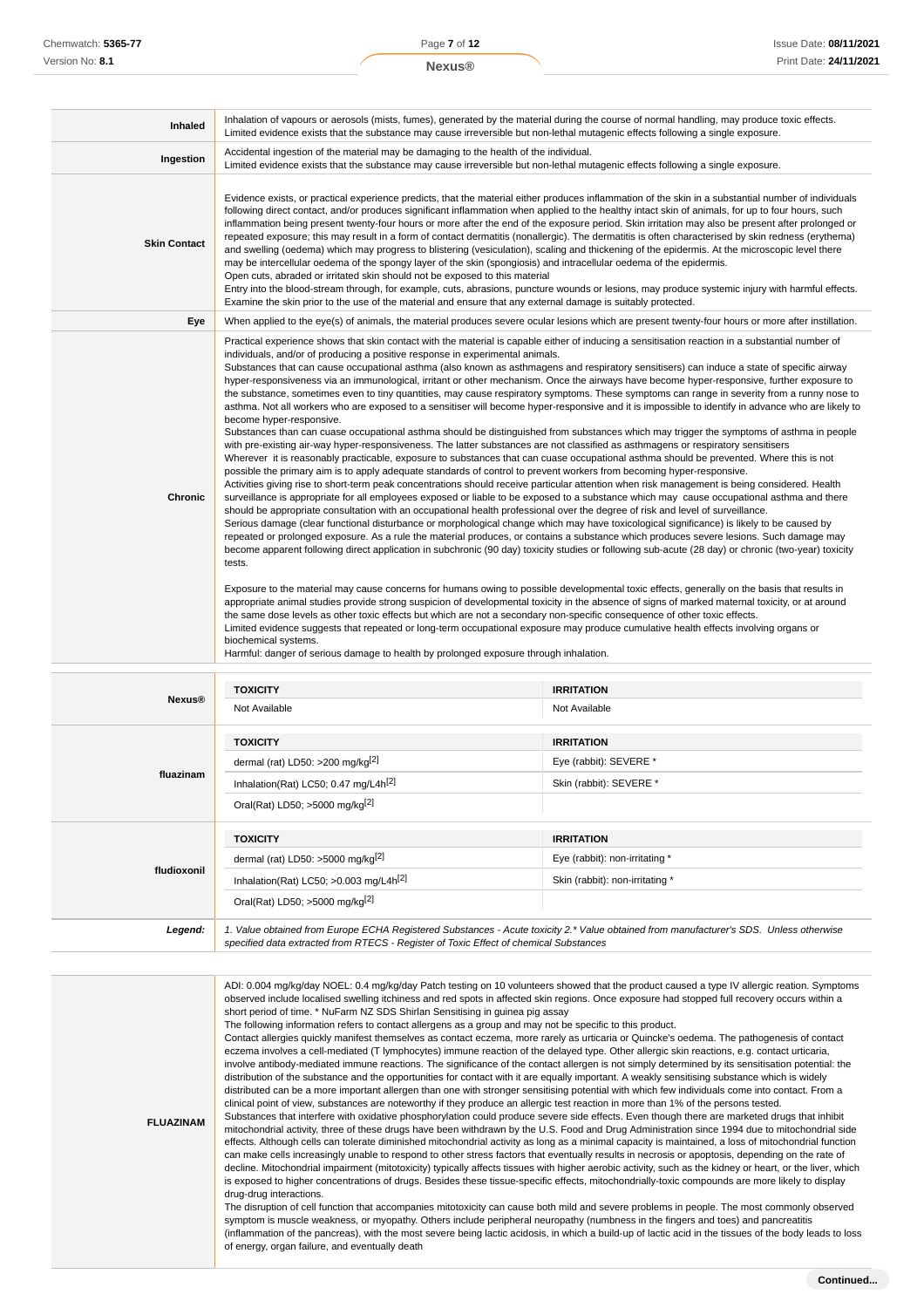| <b>Inhaled</b>      | Inhalation of vapours or aerosols (mists, fumes), generated by the material during the course of normal handling, may produce toxic effects.<br>Limited evidence exists that the substance may cause irreversible but non-lethal mutagenic effects following a single exposure.                                                                                                                                                                                                                                                                                                                                                                                                                                                                                                                                                                                                                                                                                                                                                                                                                                                                                                                                                                                                                                                                                                                                                                                                                                                                                                                                                                                                                                                                                                                                                                                                                                                                                                                                                                                                                                                                                                                                                                                                                                                                                                                                                                                                                                                                                                                                                                                                                                                                                                                                                                                                                                                                                                                         |                         |  |
|---------------------|---------------------------------------------------------------------------------------------------------------------------------------------------------------------------------------------------------------------------------------------------------------------------------------------------------------------------------------------------------------------------------------------------------------------------------------------------------------------------------------------------------------------------------------------------------------------------------------------------------------------------------------------------------------------------------------------------------------------------------------------------------------------------------------------------------------------------------------------------------------------------------------------------------------------------------------------------------------------------------------------------------------------------------------------------------------------------------------------------------------------------------------------------------------------------------------------------------------------------------------------------------------------------------------------------------------------------------------------------------------------------------------------------------------------------------------------------------------------------------------------------------------------------------------------------------------------------------------------------------------------------------------------------------------------------------------------------------------------------------------------------------------------------------------------------------------------------------------------------------------------------------------------------------------------------------------------------------------------------------------------------------------------------------------------------------------------------------------------------------------------------------------------------------------------------------------------------------------------------------------------------------------------------------------------------------------------------------------------------------------------------------------------------------------------------------------------------------------------------------------------------------------------------------------------------------------------------------------------------------------------------------------------------------------------------------------------------------------------------------------------------------------------------------------------------------------------------------------------------------------------------------------------------------------------------------------------------------------------------------------------------------|-------------------------|--|
| Ingestion           | Accidental ingestion of the material may be damaging to the health of the individual.<br>Limited evidence exists that the substance may cause irreversible but non-lethal mutagenic effects following a single exposure.                                                                                                                                                                                                                                                                                                                                                                                                                                                                                                                                                                                                                                                                                                                                                                                                                                                                                                                                                                                                                                                                                                                                                                                                                                                                                                                                                                                                                                                                                                                                                                                                                                                                                                                                                                                                                                                                                                                                                                                                                                                                                                                                                                                                                                                                                                                                                                                                                                                                                                                                                                                                                                                                                                                                                                                |                         |  |
| <b>Skin Contact</b> | Evidence exists, or practical experience predicts, that the material either produces inflammation of the skin in a substantial number of individuals<br>following direct contact, and/or produces significant inflammation when applied to the healthy intact skin of animals, for up to four hours, such<br>inflammation being present twenty-four hours or more after the end of the exposure period. Skin irritation may also be present after prolonged or<br>repeated exposure; this may result in a form of contact dermatitis (nonallergic). The dermatitis is often characterised by skin redness (erythema)<br>and swelling (oedema) which may progress to blistering (vesiculation), scaling and thickening of the epidermis. At the microscopic level there<br>may be intercellular oedema of the spongy layer of the skin (spongiosis) and intracellular oedema of the epidermis.<br>Open cuts, abraded or irritated skin should not be exposed to this material<br>Entry into the blood-stream through, for example, cuts, abrasions, puncture wounds or lesions, may produce systemic injury with harmful effects.<br>Examine the skin prior to the use of the material and ensure that any external damage is suitably protected.                                                                                                                                                                                                                                                                                                                                                                                                                                                                                                                                                                                                                                                                                                                                                                                                                                                                                                                                                                                                                                                                                                                                                                                                                                                                                                                                                                                                                                                                                                                                                                                                                                                                                                                                                        |                         |  |
| Eye                 | When applied to the eye(s) of animals, the material produces severe ocular lesions which are present twenty-four hours or more after instillation.                                                                                                                                                                                                                                                                                                                                                                                                                                                                                                                                                                                                                                                                                                                                                                                                                                                                                                                                                                                                                                                                                                                                                                                                                                                                                                                                                                                                                                                                                                                                                                                                                                                                                                                                                                                                                                                                                                                                                                                                                                                                                                                                                                                                                                                                                                                                                                                                                                                                                                                                                                                                                                                                                                                                                                                                                                                      |                         |  |
| <b>Chronic</b>      | Practical experience shows that skin contact with the material is capable either of inducing a sensitisation reaction in a substantial number of<br>individuals, and/or of producing a positive response in experimental animals.<br>Substances that can cause occupational asthma (also known as asthmagens and respiratory sensitisers) can induce a state of specific airway<br>hyper-responsiveness via an immunological, irritant or other mechanism. Once the airways have become hyper-responsive, further exposure to<br>the substance, sometimes even to tiny quantities, may cause respiratory symptoms. These symptoms can range in severity from a runny nose to<br>asthma. Not all workers who are exposed to a sensitiser will become hyper-responsive and it is impossible to identify in advance who are likely to<br>become hyper-responsive.<br>Substances than can cuase occupational asthma should be distinguished from substances which may trigger the symptoms of asthma in people<br>with pre-existing air-way hyper-responsiveness. The latter substances are not classified as asthmagens or respiratory sensitisers<br>Wherever it is reasonably practicable, exposure to substances that can cuase occupational asthma should be prevented. Where this is not<br>possible the primary aim is to apply adequate standards of control to prevent workers from becoming hyper-responsive.<br>Activities giving rise to short-term peak concentrations should receive particular attention when risk management is being considered. Health<br>surveillance is appropriate for all employees exposed or liable to be exposed to a substance which may cause occupational asthma and there<br>should be appropriate consultation with an occupational health professional over the degree of risk and level of surveillance.<br>Serious damage (clear functional disturbance or morphological change which may have toxicological significance) is likely to be caused by<br>repeated or prolonged exposure. As a rule the material produces, or contains a substance which produces severe lesions. Such damage may<br>become apparent following direct application in subchronic (90 day) toxicity studies or following sub-acute (28 day) or chronic (two-year) toxicity<br>tests.<br>Exposure to the material may cause concerns for humans owing to possible developmental toxic effects, generally on the basis that results in<br>appropriate animal studies provide strong suspicion of developmental toxicity in the absence of signs of marked maternal toxicity, or at around<br>the same dose levels as other toxic effects but which are not a secondary non-specific consequence of other toxic effects.<br>Limited evidence suggests that repeated or long-term occupational exposure may produce cumulative health effects involving organs or<br>biochemical systems.<br>Harmful: danger of serious damage to health by prolonged exposure through inhalation. |                         |  |
|                     | <b>TOXICITY</b>                                                                                                                                                                                                                                                                                                                                                                                                                                                                                                                                                                                                                                                                                                                                                                                                                                                                                                                                                                                                                                                                                                                                                                                                                                                                                                                                                                                                                                                                                                                                                                                                                                                                                                                                                                                                                                                                                                                                                                                                                                                                                                                                                                                                                                                                                                                                                                                                                                                                                                                                                                                                                                                                                                                                                                                                                                                                                                                                                                                         | <b>IRRITATION</b>       |  |
| <b>Nexus®</b>       | Not Available                                                                                                                                                                                                                                                                                                                                                                                                                                                                                                                                                                                                                                                                                                                                                                                                                                                                                                                                                                                                                                                                                                                                                                                                                                                                                                                                                                                                                                                                                                                                                                                                                                                                                                                                                                                                                                                                                                                                                                                                                                                                                                                                                                                                                                                                                                                                                                                                                                                                                                                                                                                                                                                                                                                                                                                                                                                                                                                                                                                           | Not Available           |  |
|                     | <b>TOXICITY</b>                                                                                                                                                                                                                                                                                                                                                                                                                                                                                                                                                                                                                                                                                                                                                                                                                                                                                                                                                                                                                                                                                                                                                                                                                                                                                                                                                                                                                                                                                                                                                                                                                                                                                                                                                                                                                                                                                                                                                                                                                                                                                                                                                                                                                                                                                                                                                                                                                                                                                                                                                                                                                                                                                                                                                                                                                                                                                                                                                                                         | <b>IRRITATION</b>       |  |
|                     | dermal (rat) LD50: >200 mg/kg $^{[2]}$                                                                                                                                                                                                                                                                                                                                                                                                                                                                                                                                                                                                                                                                                                                                                                                                                                                                                                                                                                                                                                                                                                                                                                                                                                                                                                                                                                                                                                                                                                                                                                                                                                                                                                                                                                                                                                                                                                                                                                                                                                                                                                                                                                                                                                                                                                                                                                                                                                                                                                                                                                                                                                                                                                                                                                                                                                                                                                                                                                  | Eye (rabbit): SEVERE *  |  |
| fluazinam           | Inhalation(Rat) LC50; 0.47 mg/L4h <sup>[2]</sup>                                                                                                                                                                                                                                                                                                                                                                                                                                                                                                                                                                                                                                                                                                                                                                                                                                                                                                                                                                                                                                                                                                                                                                                                                                                                                                                                                                                                                                                                                                                                                                                                                                                                                                                                                                                                                                                                                                                                                                                                                                                                                                                                                                                                                                                                                                                                                                                                                                                                                                                                                                                                                                                                                                                                                                                                                                                                                                                                                        | Skin (rabbit): SEVERE * |  |
|                     |                                                                                                                                                                                                                                                                                                                                                                                                                                                                                                                                                                                                                                                                                                                                                                                                                                                                                                                                                                                                                                                                                                                                                                                                                                                                                                                                                                                                                                                                                                                                                                                                                                                                                                                                                                                                                                                                                                                                                                                                                                                                                                                                                                                                                                                                                                                                                                                                                                                                                                                                                                                                                                                                                                                                                                                                                                                                                                                                                                                                         |                         |  |

|             | Oral(Rat) LD50; >5000 mg/kg <sup>[2]</sup>           |                                 |
|-------------|------------------------------------------------------|---------------------------------|
|             | <b>TOXICITY</b>                                      | <b>IRRITATION</b>               |
|             | dermal (rat) LD50: $>5000$ mg/kg <sup>[2]</sup>      | Eye (rabbit): non-irritating *  |
| fludioxonil | Inhalation(Rat) LC50; $>0.003$ mg/L4h <sup>[2]</sup> | Skin (rabbit): non-irritating * |
|             | Oral(Rat) LD50; >5000 mg/kg <sup>[2]</sup>           |                                 |
|             |                                                      |                                 |

**Legend:** 1. Value obtained from Europe ECHA Registered Substances - Acute toxicity 2.\* Value obtained from manufacturer's SDS. Unless otherwise specified data extracted from RTECS - Register of Toxic Effect of chemical Substances

ADI: 0.004 mg/kg/day NOEL: 0.4 mg/kg/day Patch testing on 10 volunteers showed that the product caused a type IV allergic reation. Symptoms observed include localised swelling itchiness and red spots in affected skin regions. Once exposure had stopped full recovery occurs within a short period of time. \* NuFarm NZ SDS Shirlan Sensitising in guinea pig assay

The following information refers to contact allergens as a group and may not be specific to this product.

**FLUAZINAM**

Contact allergies quickly manifest themselves as contact eczema, more rarely as urticaria or Quincke's oedema. The pathogenesis of contact eczema involves a cell-mediated (T lymphocytes) immune reaction of the delayed type. Other allergic skin reactions, e.g. contact urticaria, involve antibody-mediated immune reactions. The significance of the contact allergen is not simply determined by its sensitisation potential: the distribution of the substance and the opportunities for contact with it are equally important. A weakly sensitising substance which is widely distributed can be a more important allergen than one with stronger sensitising potential with which few individuals come into contact. From a clinical point of view, substances are noteworthy if they produce an allergic test reaction in more than 1% of the persons tested. Substances that interfere with oxidative phosphorylation could produce severe side effects. Even though there are marketed drugs that inhibit mitochondrial activity, three of these drugs have been withdrawn by the U.S. Food and Drug Administration since 1994 due to mitochondrial side effects. Although cells can tolerate diminished mitochondrial activity as long as a minimal capacity is maintained, a loss of mitochondrial function

can make cells increasingly unable to respond to other stress factors that eventually results in necrosis or apoptosis, depending on the rate of decline. Mitochondrial impairment (mitotoxicity) typically affects tissues with higher aerobic activity, such as the kidney or heart, or the liver, which is exposed to higher concentrations of drugs. Besides these tissue-specific effects, mitochondrially-toxic compounds are more likely to display drug-drug interactions. The disruption of cell function that accompanies mitotoxicity can cause both mild and severe problems in people. The most commonly observed

symptom is muscle weakness, or myopathy. Others include peripheral neuropathy (numbness in the fingers and toes) and pancreatitis (inflammation of the pancreas), with the most severe being lactic acidosis, in which a build-up of lactic acid in the tissues of the body leads to loss of energy, organ failure, and eventually death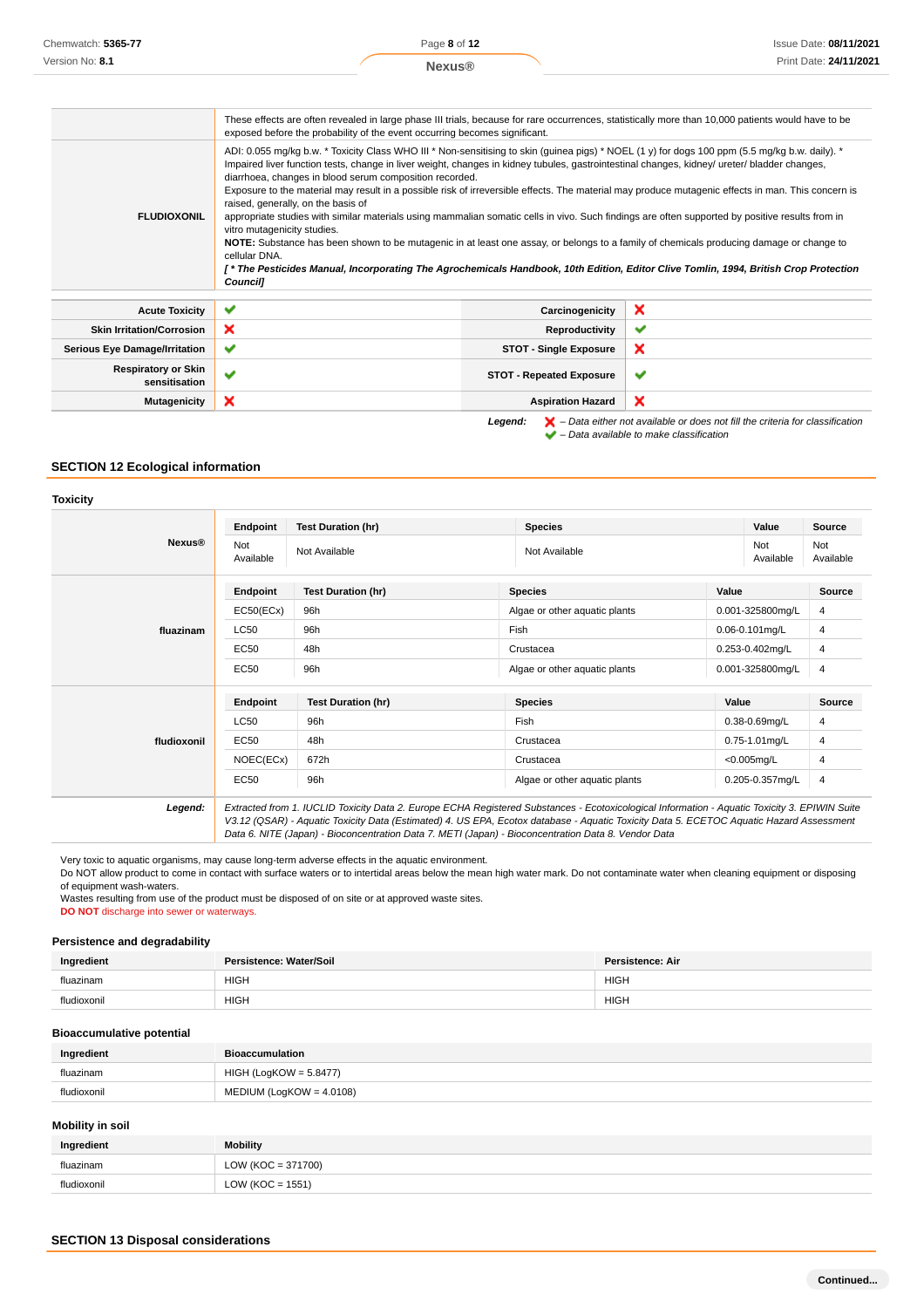|                                             | These effects are often revealed in large phase III trials, because for rare occurrences, statistically more than 10,000 patients would have to be<br>exposed before the probability of the event occurring becomes significant.                                                                                                                                                                                                                                                                                                                                                                                                                                                                                                                                                                                                                                                                                                                                                                                                                               |                                 |                                                                                                    |
|---------------------------------------------|----------------------------------------------------------------------------------------------------------------------------------------------------------------------------------------------------------------------------------------------------------------------------------------------------------------------------------------------------------------------------------------------------------------------------------------------------------------------------------------------------------------------------------------------------------------------------------------------------------------------------------------------------------------------------------------------------------------------------------------------------------------------------------------------------------------------------------------------------------------------------------------------------------------------------------------------------------------------------------------------------------------------------------------------------------------|---------------------------------|----------------------------------------------------------------------------------------------------|
| <b>FLUDIOXONIL</b>                          | ADI: 0.055 mg/kg b.w. * Toxicity Class WHO III * Non-sensitising to skin (guinea pigs) * NOEL (1 y) for dogs 100 ppm (5.5 mg/kg b.w. daily). *<br>Impaired liver function tests, change in liver weight, changes in kidney tubules, gastrointestinal changes, kidney/ ureter/ bladder changes,<br>diarrhoea, changes in blood serum composition recorded.<br>Exposure to the material may result in a possible risk of irreversible effects. The material may produce mutagenic effects in man. This concern is<br>raised, generally, on the basis of<br>appropriate studies with similar materials using mammalian somatic cells in vivo. Such findings are often supported by positive results from in<br>vitro mutagenicity studies.<br>NOTE: Substance has been shown to be mutagenic in at least one assay, or belongs to a family of chemicals producing damage or change to<br>cellular DNA.<br>[* The Pesticides Manual, Incorporating The Agrochemicals Handbook, 10th Edition, Editor Clive Tomlin, 1994, British Crop Protection<br><b>Councill</b> |                                 |                                                                                                    |
| <b>Acute Toxicity</b>                       | ✔                                                                                                                                                                                                                                                                                                                                                                                                                                                                                                                                                                                                                                                                                                                                                                                                                                                                                                                                                                                                                                                              | Carcinogenicity                 | ×                                                                                                  |
| <b>Skin Irritation/Corrosion</b>            | ×                                                                                                                                                                                                                                                                                                                                                                                                                                                                                                                                                                                                                                                                                                                                                                                                                                                                                                                                                                                                                                                              | Reproductivity                  | ✔                                                                                                  |
| <b>Serious Eye Damage/Irritation</b>        | ✔                                                                                                                                                                                                                                                                                                                                                                                                                                                                                                                                                                                                                                                                                                                                                                                                                                                                                                                                                                                                                                                              | <b>STOT - Single Exposure</b>   | ×                                                                                                  |
| <b>Respiratory or Skin</b><br>sensitisation | $\checkmark$                                                                                                                                                                                                                                                                                                                                                                                                                                                                                                                                                                                                                                                                                                                                                                                                                                                                                                                                                                                                                                                   | <b>STOT - Repeated Exposure</b> | ັ                                                                                                  |
| <b>Mutagenicity</b>                         | ×                                                                                                                                                                                                                                                                                                                                                                                                                                                                                                                                                                                                                                                                                                                                                                                                                                                                                                                                                                                                                                                              | <b>Aspiration Hazard</b>        | ×                                                                                                  |
|                                             |                                                                                                                                                                                                                                                                                                                                                                                                                                                                                                                                                                                                                                                                                                                                                                                                                                                                                                                                                                                                                                                                | Legend:                         | $\blacktriangleright$ - Data either not available or does not fill the criteria for classification |

 $\blacktriangleright$  – Data either not available to make classification

## **SECTION 12 Ecological information**

#### **Toxicity**

| <b>Nexus®</b> | Endpoint         | <b>Test Duration (hr)</b> | <b>Species</b>                | Value               | Source           |
|---------------|------------------|---------------------------|-------------------------------|---------------------|------------------|
|               | Not<br>Available | Not Available             | Not Available                 | Not<br>Available    | Not<br>Available |
|               | Endpoint         | <b>Test Duration (hr)</b> | <b>Species</b>                | Value               | <b>Source</b>    |
|               | EC50(ECx)        | 96h                       | Algae or other aquatic plants | 0.001-325800mg/L    | 4                |
| fluazinam     | LC50             | 96h                       | Fish                          | $0.06 - 0.101$ mg/L | 4                |
|               | EC50             | 48h                       | Crustacea                     | 0.253-0.402mg/L     | 4                |
|               | <b>EC50</b>      | 96h                       | Algae or other aquatic plants | 0.001-325800mg/L    | 4                |
| fludioxonil   | Endpoint         | <b>Test Duration (hr)</b> | <b>Species</b>                | Value               | <b>Source</b>    |
|               | LC50             | 96h                       | Fish                          | $0.38 - 0.69$ mg/L  | 4                |
|               | <b>EC50</b>      | 48h                       | Crustacea                     | $0.75 - 1.01$ mg/L  | 4                |
|               | NOEC(ECx)        | 672h                      | Crustacea                     | $<$ 0.005mg/L       | 4                |
|               | <b>EC50</b>      | 96h                       | Algae or other aquatic plants | 0.205-0.357mg/L     | 4                |

V3.12 (QSAR) - Aquatic Toxicity Data (Estimated) 4. US EPA, Ecotox database - Aquatic Toxicity Data 5. ECETOC Aquatic Hazard Assessment Data 6. NITE (Japan) - Bioconcentration Data 7. METI (Japan) - Bioconcentration Data 8. Vendor Data

Very toxic to aquatic organisms, may cause long-term adverse effects in the aquatic environment.

Do NOT allow product to come in contact with surface waters or to intertidal areas below the mean high water mark. Do not contaminate water when cleaning equipment or disposing of equipment wash-waters.

Wastes resulting from use of the product must be disposed of on site or at approved waste sites.

**DO NOT** discharge into sewer or waterways.

### **Persistence and degradability**

| Ingredient | Persistence: Water/Soil | <b>Persistence: Air</b> |
|------------|-------------------------|-------------------------|
| fluazinam  | <b>HIGH</b>             | HIGH                    |
| fludioxoni | <b>HIGH</b>             | <b>HIGH</b>             |

#### **Bioaccumulative potential**

| Ingredient  | <b>Bioaccumulation</b>     |
|-------------|----------------------------|
| fluazinam   | HIGH (LogKOW = 5.8477)     |
| fludioxonil | $MEDIUM (LogKOW = 4.0108)$ |

#### **Mobility in soil**

| Ingredient  | Mobility         |
|-------------|------------------|
| fluazinam   | 371700<br>ਂ =ਾ   |
| fludioxonil | LOW (KOC = 1551) |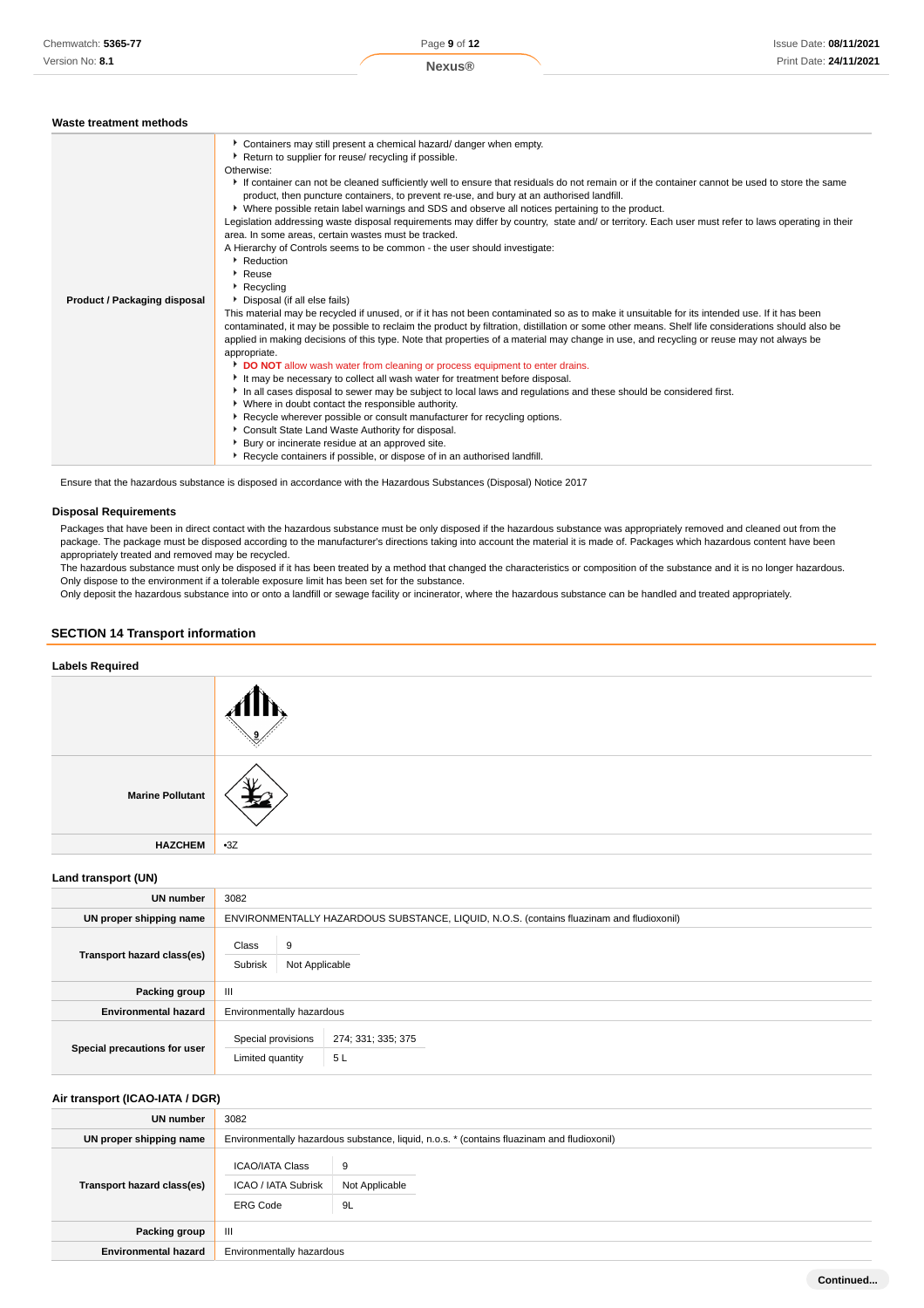#### **Waste treatment methods**

| Containers may still present a chemical hazard/ danger when empty.<br>Return to supplier for reuse/ recycling if possible.<br>Otherwise:<br>If container can not be cleaned sufficiently well to ensure that residuals do not remain or if the container cannot be used to store the same<br>product, then puncture containers, to prevent re-use, and bury at an authorised landfill.<br>▶ Where possible retain label warnings and SDS and observe all notices pertaining to the product.<br>Legislation addressing waste disposal requirements may differ by country, state and/ or territory. Each user must refer to laws operating in their<br>area. In some areas, certain wastes must be tracked.<br>A Hierarchy of Controls seems to be common - the user should investigate:<br>Reduction<br>Reuse<br>$\triangleright$ Recycling<br>Product / Packaging disposal<br>Disposal (if all else fails)<br>This material may be recycled if unused, or if it has not been contaminated so as to make it unsuitable for its intended use. If it has been<br>contaminated, it may be possible to reclaim the product by filtration, distillation or some other means. Shelf life considerations should also be<br>applied in making decisions of this type. Note that properties of a material may change in use, and recycling or reuse may not always be<br>appropriate.<br>DO NOT allow wash water from cleaning or process equipment to enter drains.<br>It may be necessary to collect all wash water for treatment before disposal.<br>In all cases disposal to sewer may be subject to local laws and regulations and these should be considered first.<br>• Where in doubt contact the responsible authority.<br>▶ Recycle wherever possible or consult manufacturer for recycling options.<br>Consult State Land Waste Authority for disposal.<br>Bury or incinerate residue at an approved site. |                                                                          |
|-------------------------------------------------------------------------------------------------------------------------------------------------------------------------------------------------------------------------------------------------------------------------------------------------------------------------------------------------------------------------------------------------------------------------------------------------------------------------------------------------------------------------------------------------------------------------------------------------------------------------------------------------------------------------------------------------------------------------------------------------------------------------------------------------------------------------------------------------------------------------------------------------------------------------------------------------------------------------------------------------------------------------------------------------------------------------------------------------------------------------------------------------------------------------------------------------------------------------------------------------------------------------------------------------------------------------------------------------------------------------------------------------------------------------------------------------------------------------------------------------------------------------------------------------------------------------------------------------------------------------------------------------------------------------------------------------------------------------------------------------------------------------------------------------------------------------------------------------------------------------------------------------------------|--------------------------------------------------------------------------|
|                                                                                                                                                                                                                                                                                                                                                                                                                                                                                                                                                                                                                                                                                                                                                                                                                                                                                                                                                                                                                                                                                                                                                                                                                                                                                                                                                                                                                                                                                                                                                                                                                                                                                                                                                                                                                                                                                                             | Recycle containers if possible, or dispose of in an authorised landfill. |

Ensure that the hazardous substance is disposed in accordance with the Hazardous Substances (Disposal) Notice 2017

#### **Disposal Requirements**

Packages that have been in direct contact with the hazardous substance must be only disposed if the hazardous substance was appropriately removed and cleaned out from the package. The package must be disposed according to the manufacturer's directions taking into account the material it is made of. Packages which hazardous content have been appropriately treated and removed may be recycled.

The hazardous substance must only be disposed if it has been treated by a method that changed the characteristics or composition of the substance and it is no longer hazardous. Only dispose to the environment if a tolerable exposure limit has been set for the substance.

Only deposit the hazardous substance into or onto a landfill or sewage facility or incinerator, where the hazardous substance can be handled and treated appropriately.

### **SECTION 14 Transport information**



#### **Land transport (UN)**

| UN number                    | 3082                                    |                                                                                          |  |
|------------------------------|-----------------------------------------|------------------------------------------------------------------------------------------|--|
| UN proper shipping name      |                                         | ENVIRONMENTALLY HAZARDOUS SUBSTANCE, LIQUID, N.O.S. (contains fluazinam and fludioxonil) |  |
| Transport hazard class(es)   | Class<br>9<br>Subrisk<br>Not Applicable |                                                                                          |  |
| Packing group                | Ш                                       |                                                                                          |  |
| <b>Environmental hazard</b>  | Environmentally hazardous               |                                                                                          |  |
| Special precautions for user | Special provisions<br>Limited quantity  | 274; 331; 335; 375<br>5L                                                                 |  |

### **Air transport (ICAO-IATA / DGR)**

| UN number                   | 3082                                                                    |                                                                                            |  |  |
|-----------------------------|-------------------------------------------------------------------------|--------------------------------------------------------------------------------------------|--|--|
| UN proper shipping name     |                                                                         | Environmentally hazardous substance, liquid, n.o.s. * (contains fluazinam and fludioxonil) |  |  |
| Transport hazard class(es)  | <b>ICAO/IATA Class</b><br><b>ICAO / IATA Subrisk</b><br><b>ERG Code</b> | 9<br>Not Applicable<br>9L                                                                  |  |  |
| Packing group               | Ш                                                                       |                                                                                            |  |  |
| <b>Environmental hazard</b> | Environmentally hazardous                                               |                                                                                            |  |  |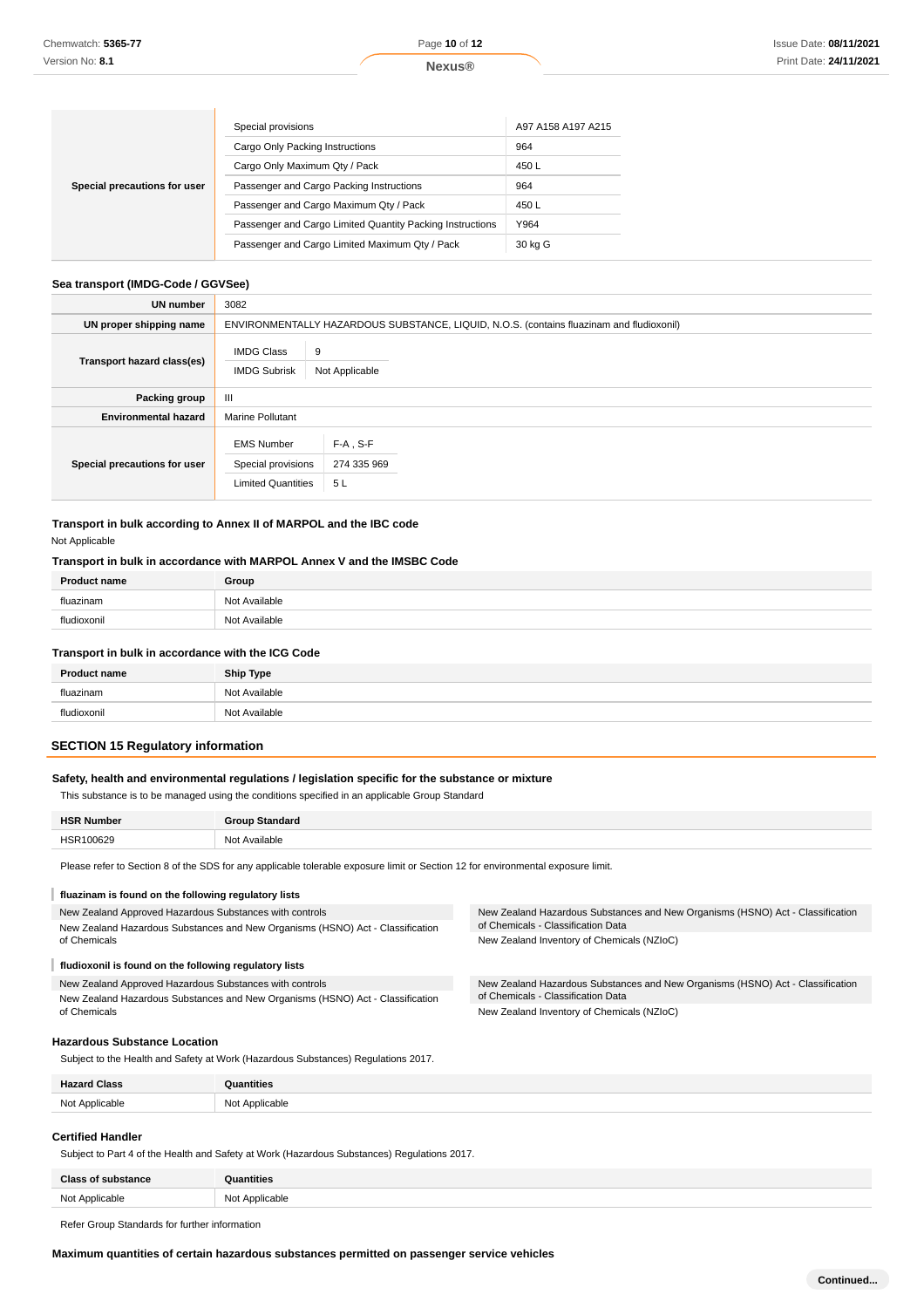|                              | Special provisions                                        | A97 A158 A197 A215 |
|------------------------------|-----------------------------------------------------------|--------------------|
|                              | Cargo Only Packing Instructions                           | 964                |
| Special precautions for user | Cargo Only Maximum Qty / Pack                             | 450 L              |
|                              | Passenger and Cargo Packing Instructions                  | 964                |
|                              | Passenger and Cargo Maximum Qty / Pack                    | 450 L              |
|                              | Passenger and Cargo Limited Quantity Packing Instructions | Y964               |
|                              | Passenger and Cargo Limited Maximum Qty / Pack            | 30 kg G            |

### **Sea transport (IMDG-Code / GGVSee)**

| UN number                    | 3082                                                                 |                                                                                          |
|------------------------------|----------------------------------------------------------------------|------------------------------------------------------------------------------------------|
| UN proper shipping name      |                                                                      | ENVIRONMENTALLY HAZARDOUS SUBSTANCE, LIQUID, N.O.S. (contains fluazinam and fludioxonil) |
| Transport hazard class(es)   | <b>IMDG Class</b><br><b>IMDG Subrisk</b>                             | 9<br>Not Applicable                                                                      |
| Packing group                | Ш                                                                    |                                                                                          |
| <b>Environmental hazard</b>  | <b>Marine Pollutant</b>                                              |                                                                                          |
| Special precautions for user | <b>EMS Number</b><br>Special provisions<br><b>Limited Quantities</b> | $F-A$ , S-F<br>274 335 969<br>5 L                                                        |

**Transport in bulk according to Annex II of MARPOL and the IBC code** Not Applicable

#### **Transport in bulk in accordance with MARPOL Annex V and the IMSBC Code**

| <b>Product name</b> | Group         |
|---------------------|---------------|
| fluazinam           | Not Available |
| fludioxonil         | Not Available |

#### **Transport in bulk in accordance with the ICG Code**

| <b>Product name</b> | <b>Ship Type</b> |
|---------------------|------------------|
| fluazinam           | Not Available    |
| fludioxonil         | Not Available    |
|                     |                  |

### **SECTION 15 Regulatory information**

#### **Safety, health and environmental regulations / legislation specific for the substance or mixture**

This substance is to be managed using the conditions specified in an applicable Group Standard

| <b>HSF</b><br>uu |         |
|------------------|---------|
| $\sim$<br>-<br>. | いへ<br>. |

Please refer to Section 8 of the SDS for any applicable tolerable exposure limit or Section 12 for environmental exposure limit.

#### I **fluazinam is found on the following regulatory lists**

New Zealand Approved Hazardous Substances with controls

New Zealand Hazardous Substances and New Organisms (HSNO) Act - Classification of Chemicals

#### Т **fludioxonil is found on the following regulatory lists**

New Zealand Approved Hazardous Substances with controls New Zealand Hazardous Substances and New Organisms (HSNO) Act - Classification of Chemicals

New Zealand Hazardous Substances and New Organisms (HSNO) Act - Classification of Chemicals - Classification Data New Zealand Inventory of Chemicals (NZIoC)

New Zealand Hazardous Substances and New Organisms (HSNO) Act - Classification of Chemicals - Classification Data New Zealand Inventory of Chemicals (NZIoC)

#### **Hazardous Substance Location**

Subject to the Health and Safety at Work (Hazardous Substances) Regulations 2017.

| <b>Hazard Class</b> | ntities<br>.   |
|---------------------|----------------|
| Not Applicable      | Not Applicable |
|                     |                |

### **Certified Handler**

Subject to Part 4 of the Health and Safety at Work (Hazardous Substances) Regulations 2017.

| <b>Class of substance</b> | <b>Quantities</b> |
|---------------------------|-------------------|
| Not Applicable            | Not Applicable    |
|                           |                   |

Refer Group Standards for further information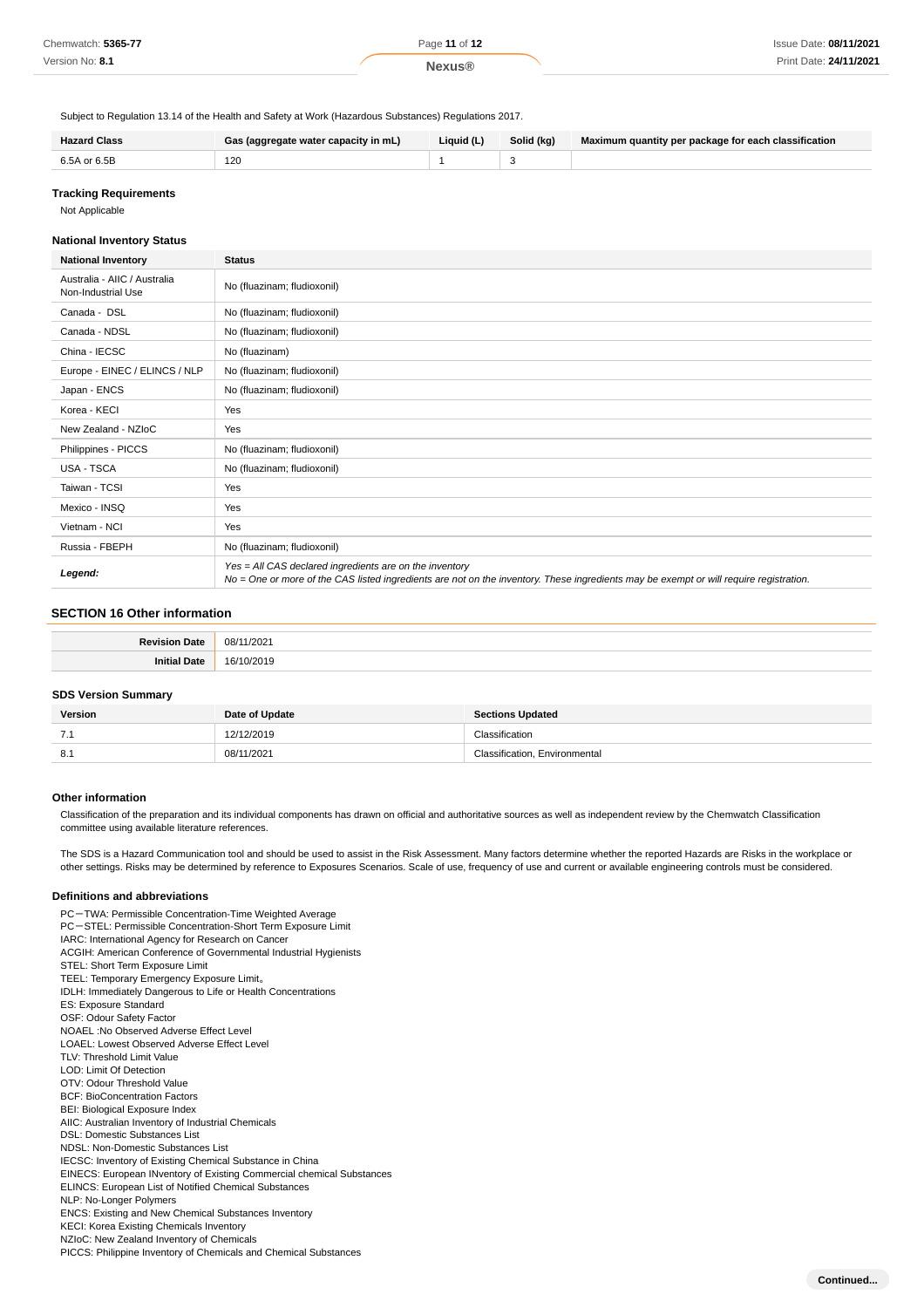| Chemwatch: 5365-77 | Page 11 of 12 | Issue Date: 08/11/2021 |
|--------------------|---------------|------------------------|
| Version No: 8.1    | <b>Nexus®</b> | Print Date: 24/11/2021 |

Subject to Regulation 13.14 of the Health and Safety at Work (Hazardous Substances) Regulations 2017.

| <b>Hazard Class</b> | Gas (aggregate water capacity in mL) | Liquid (L) | Solid (kg) | Maximum quantity per package for each classification |
|---------------------|--------------------------------------|------------|------------|------------------------------------------------------|
| 6.5A or 6.5B        | 120                                  |            |            |                                                      |

### **Tracking Requirements**

Not Applicable

#### **National Inventory Status**

| <b>National Inventory</b>                          | <b>Status</b>                                                                                                                                                                                     |
|----------------------------------------------------|---------------------------------------------------------------------------------------------------------------------------------------------------------------------------------------------------|
| Australia - AIIC / Australia<br>Non-Industrial Use | No (fluazinam; fludioxonil)                                                                                                                                                                       |
| Canada - DSL                                       | No (fluazinam; fludioxonil)                                                                                                                                                                       |
| Canada - NDSL                                      | No (fluazinam; fludioxonil)                                                                                                                                                                       |
| China - IECSC                                      | No (fluazinam)                                                                                                                                                                                    |
| Europe - EINEC / ELINCS / NLP                      | No (fluazinam; fludioxonil)                                                                                                                                                                       |
| Japan - ENCS                                       | No (fluazinam; fludioxonil)                                                                                                                                                                       |
| Korea - KECI                                       | Yes                                                                                                                                                                                               |
| New Zealand - NZIoC                                | Yes                                                                                                                                                                                               |
| Philippines - PICCS                                | No (fluazinam; fludioxonil)                                                                                                                                                                       |
| <b>USA - TSCA</b>                                  | No (fluazinam; fludioxonil)                                                                                                                                                                       |
| Taiwan - TCSI                                      | Yes                                                                                                                                                                                               |
| Mexico - INSQ                                      | Yes                                                                                                                                                                                               |
| Vietnam - NCI                                      | Yes                                                                                                                                                                                               |
| Russia - FBEPH                                     | No (fluazinam; fludioxonil)                                                                                                                                                                       |
| Legend:                                            | Yes = All CAS declared ingredients are on the inventory<br>No = One or more of the CAS listed ingredients are not on the inventory. These ingredients may be exempt or will require registration. |

### **SECTION 16 Other information**

| o.<br>$-1$ | 08/<br>1/2021<br>- - - |
|------------|------------------------|
|            | 161<br>ົດດາ<br>.       |

#### **SDS Version Summary**

| Version | Date of Update | <b>Sections Updated</b>       |
|---------|----------------|-------------------------------|
| .       | 12/12/2019     | Classification                |
| 8.1     | 08/11/2021     | Classification, Environmental |

#### **Other information**

Classification of the preparation and its individual components has drawn on official and authoritative sources as well as independent review by the Chemwatch Classification committee using available literature references.

The SDS is a Hazard Communication tool and should be used to assist in the Risk Assessment. Many factors determine whether the reported Hazards are Risks in the workplace or other settings. Risks may be determined by reference to Exposures Scenarios. Scale of use, frequency of use and current or available engineering controls must be considered.

#### **Definitions and abbreviations**

PC-TWA: Permissible Concentration-Time Weighted Average PC-STEL: Permissible Concentration-Short Term Exposure Limit IARC: International Agency for Research on Cancer ACGIH: American Conference of Governmental Industrial Hygienists STEL: Short Term Exposure Limit TEEL: Temporary Emergency Exposure Limit。 IDLH: Immediately Dangerous to Life or Health Concentrations ES: Exposure Standard OSF: Odour Safety Factor NOAEL :No Observed Adverse Effect Level LOAEL: Lowest Observed Adverse Effect Level TLV: Threshold Limit Value LOD: Limit Of Detection OTV: Odour Threshold Value BCF: BioConcentration Factors BEI: Biological Exposure Index AIIC: Australian Inventory of Industrial Chemicals DSL: Domestic Substances List NDSL: Non-Domestic Substances List IECSC: Inventory of Existing Chemical Substance in China EINECS: European INventory of Existing Commercial chemical Substances ELINCS: European List of Notified Chemical Substances NLP: No-Longer Polymers ENCS: Existing and New Chemical Substances Inventory KECI: Korea Existing Chemicals Inventory NZIoC: New Zealand Inventory of Chemicals PICCS: Philippine Inventory of Chemicals and Chemical Substances